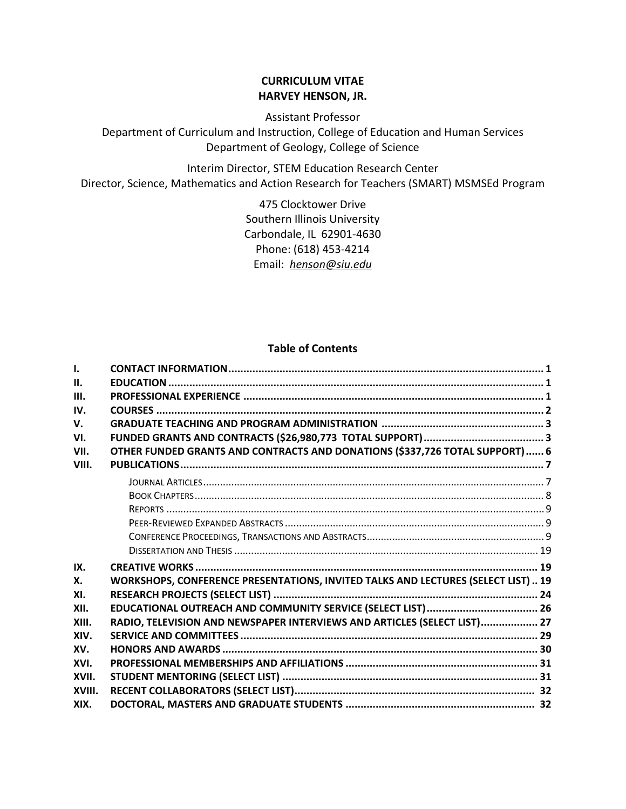Assistant Professor

Department of Curriculum and Instruction, College of Education and Human Services Department of Geology, College of Science

Interim Director, STEM Education Research Center Director, Science, Mathematics and Action Research for Teachers (SMART) MSMSEd Program

> 475 Clocktower Drive Southern Illinois University Carbondale, IL 62901‐4630 Phone: (618) 453‐4214 Email: *henson@siu.edu*

### **Table of Contents**

| $\mathbf{L}$ |                                                                                   |  |
|--------------|-----------------------------------------------------------------------------------|--|
| II.          |                                                                                   |  |
| III.         |                                                                                   |  |
| IV.          |                                                                                   |  |
| $V_{\cdot}$  |                                                                                   |  |
| VI.          |                                                                                   |  |
| VII.         | OTHER FUNDED GRANTS AND CONTRACTS AND DONATIONS (\$337,726 TOTAL SUPPORT)  6      |  |
| VIII.        |                                                                                   |  |
|              |                                                                                   |  |
|              |                                                                                   |  |
|              |                                                                                   |  |
|              |                                                                                   |  |
|              |                                                                                   |  |
|              |                                                                                   |  |
| IX.          |                                                                                   |  |
| X.           | WORKSHOPS, CONFERENCE PRESENTATIONS, INVITED TALKS AND LECTURES (SELECT LIST)  19 |  |
| XI.          |                                                                                   |  |
| XII.         |                                                                                   |  |
| XIII.        | RADIO, TELEVISION AND NEWSPAPER INTERVIEWS AND ARTICLES (SELECT LIST) 27          |  |
| XIV.         |                                                                                   |  |
| XV.          |                                                                                   |  |
| XVI.         |                                                                                   |  |
| XVII.        |                                                                                   |  |
| XVIII.       |                                                                                   |  |
| XIX.         |                                                                                   |  |
|              |                                                                                   |  |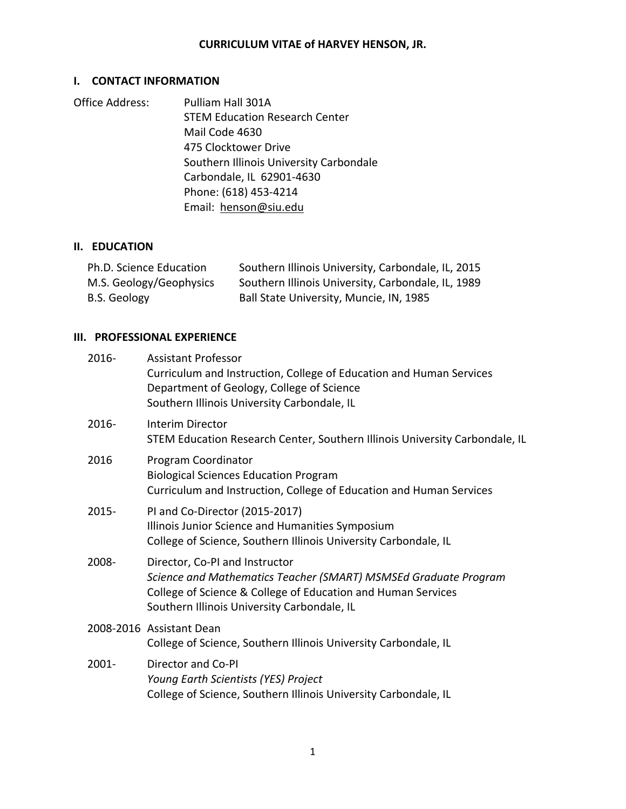#### **I. CONTACT INFORMATION**

Office Address: Pulliam Hall 301A STEM Education Research Center Mail Code 4630 475 Clocktower Drive Southern Illinois University Carbondale Carbondale, IL 62901‐4630 Phone: (618) 453‐4214 Email: henson@siu.edu

### **II. EDUCATION**

| Ph.D. Science Education | Southern Illinois University, Carbondale, IL, 2015 |
|-------------------------|----------------------------------------------------|
| M.S. Geology/Geophysics | Southern Illinois University, Carbondale, IL, 1989 |
| B.S. Geology            | Ball State University, Muncie, IN, 1985            |

#### **III. PROFESSIONAL EXPERIENCE**

| $2016 -$ | <b>Assistant Professor</b><br>Curriculum and Instruction, College of Education and Human Services<br>Department of Geology, College of Science<br>Southern Illinois University Carbondale, IL                    |
|----------|------------------------------------------------------------------------------------------------------------------------------------------------------------------------------------------------------------------|
| $2016 -$ | Interim Director<br>STEM Education Research Center, Southern Illinois University Carbondale, IL                                                                                                                  |
| 2016     | Program Coordinator<br><b>Biological Sciences Education Program</b><br>Curriculum and Instruction, College of Education and Human Services                                                                       |
| 2015-    | PI and Co-Director (2015-2017)<br>Illinois Junior Science and Humanities Symposium<br>College of Science, Southern Illinois University Carbondale, IL                                                            |
| 2008-    | Director, Co-PI and Instructor<br>Science and Mathematics Teacher (SMART) MSMSEd Graduate Program<br>College of Science & College of Education and Human Services<br>Southern Illinois University Carbondale, IL |
|          | 2008-2016 Assistant Dean<br>College of Science, Southern Illinois University Carbondale, IL                                                                                                                      |
| 2001-    | Director and Co-PI<br>Young Earth Scientists (YES) Project<br>College of Science, Southern Illinois University Carbondale, IL                                                                                    |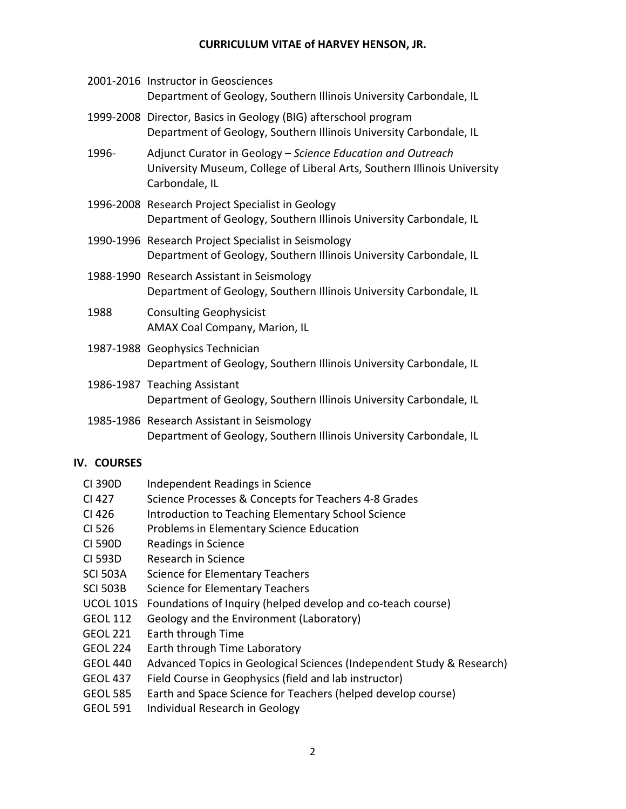|       | 2001-2016 Instructor in Geosciences<br>Department of Geology, Southern Illinois University Carbondale, IL                                                 |
|-------|-----------------------------------------------------------------------------------------------------------------------------------------------------------|
|       | 1999-2008 Director, Basics in Geology (BIG) afterschool program<br>Department of Geology, Southern Illinois University Carbondale, IL                     |
| 1996- | Adjunct Curator in Geology - Science Education and Outreach<br>University Museum, College of Liberal Arts, Southern Illinois University<br>Carbondale, IL |
|       | 1996-2008 Research Project Specialist in Geology<br>Department of Geology, Southern Illinois University Carbondale, IL                                    |
|       | 1990-1996 Research Project Specialist in Seismology<br>Department of Geology, Southern Illinois University Carbondale, IL                                 |
|       | 1988-1990 Research Assistant in Seismology<br>Department of Geology, Southern Illinois University Carbondale, IL                                          |
| 1988  | <b>Consulting Geophysicist</b><br><b>AMAX Coal Company, Marion, IL</b>                                                                                    |
|       | 1987-1988 Geophysics Technician<br>Department of Geology, Southern Illinois University Carbondale, IL                                                     |
|       | 1986-1987 Teaching Assistant<br>Department of Geology, Southern Illinois University Carbondale, IL                                                        |

1985‐1986 Research Assistant in Seismology Department of Geology, Southern Illinois University Carbondale, IL

#### **IV. COURSES**

- CI 390D Independent Readings in Science
- CI 427 Science Processes & Concepts for Teachers 4‐8 Grades
- CI 426 Introduction to Teaching Elementary School Science
- CI 526 Problems in Elementary Science Education
- CI 590D Readings in Science
- CI 593D Research in Science
- SCI 503A Science for Elementary Teachers
- SCI 503B Science for Elementary Teachers
- UCOL 101S Foundations of Inquiry (helped develop and co‐teach course)
- GEOL 112 Geology and the Environment (Laboratory)
- GEOL 221 Earth through Time
- GEOL 224 Earth through Time Laboratory
- GEOL 440 Advanced Topics in Geological Sciences (Independent Study & Research)
- GEOL 437 Field Course in Geophysics (field and lab instructor)
- GEOL 585 Earth and Space Science for Teachers (helped develop course)
- GEOL 591 Individual Research in Geology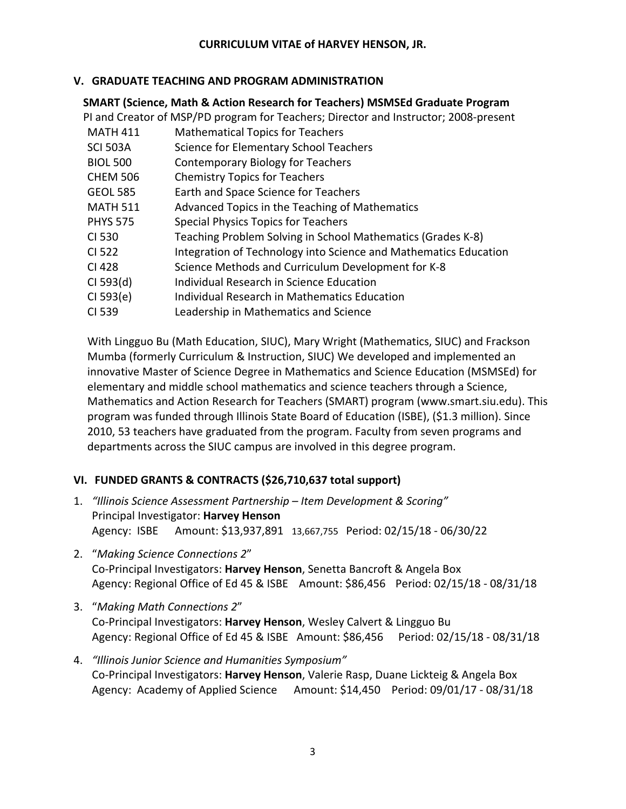#### **V. GRADUATE TEACHING AND PROGRAM ADMINISTRATION**

**SMART (Science, Math & Action Research for Teachers) MSMSEd Graduate Program** PI and Creator of MSP/PD program for Teachers; Director and Instructor; 2008‐present

| <b>MATH 411</b> | <b>Mathematical Topics for Teachers</b>                          |
|-----------------|------------------------------------------------------------------|
| <b>SCI 503A</b> | Science for Elementary School Teachers                           |
| <b>BIOL 500</b> | <b>Contemporary Biology for Teachers</b>                         |
| <b>CHEM 506</b> | <b>Chemistry Topics for Teachers</b>                             |
| <b>GEOL 585</b> | Earth and Space Science for Teachers                             |
| <b>MATH 511</b> | Advanced Topics in the Teaching of Mathematics                   |
| <b>PHYS 575</b> | <b>Special Physics Topics for Teachers</b>                       |
| CI 530          | Teaching Problem Solving in School Mathematics (Grades K-8)      |
| CI 522          | Integration of Technology into Science and Mathematics Education |
| CI 428          | Science Methods and Curriculum Development for K-8               |
| $CI$ 593 $(d)$  | Individual Research in Science Education                         |
| CI 593(e)       | Individual Research in Mathematics Education                     |
| CI 539          | Leadership in Mathematics and Science                            |
|                 |                                                                  |

With Lingguo Bu (Math Education, SIUC), Mary Wright (Mathematics, SIUC) and Frackson Mumba (formerly Curriculum & Instruction, SIUC) We developed and implemented an innovative Master of Science Degree in Mathematics and Science Education (MSMSEd) for elementary and middle school mathematics and science teachers through a Science, Mathematics and Action Research for Teachers (SMART) program (www.smart.siu.edu). This program was funded through Illinois State Board of Education (ISBE), (\$1.3 million). Since 2010, 53 teachers have graduated from the program. Faculty from seven programs and departments across the SIUC campus are involved in this degree program.

## **VI. FUNDED GRANTS & CONTRACTS (\$26,710,637 total support)**

- 1. *"Illinois Science Assessment Partnership – Item Development & Scoring"*  Principal Investigator: **Harvey Henson** Agency: ISBE Amount: \$13,937,891 13,667,755 Period: 02/15/18 ‐ 06/30/22
- 2. "*Making Science Connections 2*" Co‐Principal Investigators: **Harvey Henson**, Senetta Bancroft & Angela Box Agency: Regional Office of Ed 45 & ISBE Amount: \$86,456 Period: 02/15/18 ‐ 08/31/18
- 3. "*Making Math Connections 2*" Co‐Principal Investigators: **Harvey Henson**, Wesley Calvert & Lingguo Bu Agency: Regional Office of Ed 45 & ISBE Amount: \$86,456 Period: 02/15/18 ‐ 08/31/18
- 4. *"Illinois Junior Science and Humanities Symposium"* Co‐Principal Investigators: **Harvey Henson**, Valerie Rasp, Duane Lickteig & Angela Box Agency: Academy of Applied Science Amount: \$14,450 Period: 09/01/17 ‐ 08/31/18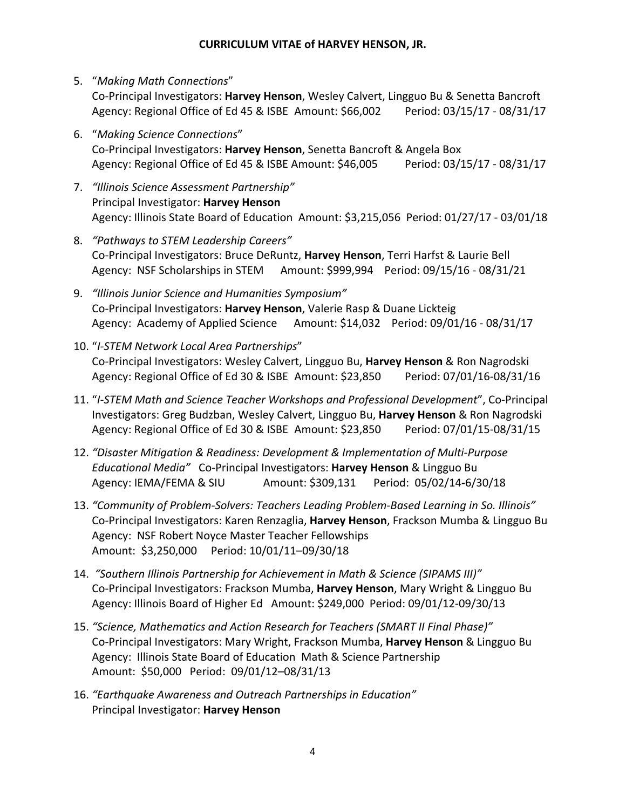- 5. "*Making Math Connections*" Co‐Principal Investigators: **Harvey Henson**, Wesley Calvert, Lingguo Bu & Senetta Bancroft Agency: Regional Office of Ed 45 & ISBE Amount: \$66,002 Period: 03/15/17 ‐ 08/31/17
- 6. "*Making Science Connections*" Co‐Principal Investigators: **Harvey Henson**, Senetta Bancroft & Angela Box Agency: Regional Office of Ed 45 & ISBE Amount: \$46,005 Period: 03/15/17 ‐ 08/31/17
- 7. *"Illinois Science Assessment Partnership"*  Principal Investigator: **Harvey Henson** Agency: Illinois State Board of Education Amount: \$3,215,056 Period: 01/27/17 ‐ 03/01/18
- 8. *"Pathways to STEM Leadership Careers"* Co‐Principal Investigators: Bruce DeRuntz, **Harvey Henson**, Terri Harfst & Laurie Bell Agency: NSF Scholarships in STEM Amount: \$999,994 Period: 09/15/16 ‐ 08/31/21
- 9. *"Illinois Junior Science and Humanities Symposium"* Co‐Principal Investigators: **Harvey Henson**, Valerie Rasp & Duane Lickteig Agency: Academy of Applied Science Amount: \$14,032 Period: 09/01/16 - 08/31/17
- 10. "*I‐STEM Network Local Area Partnerships*" Co‐Principal Investigators: Wesley Calvert, Lingguo Bu, **Harvey Henson** & Ron Nagrodski Agency: Regional Office of Ed 30 & ISBE Amount: \$23,850 Period: 07/01/16-08/31/16
- 11. "*I‐STEM Math and Science Teacher Workshops and Professional Development*", Co‐Principal Investigators: Greg Budzban, Wesley Calvert, Lingguo Bu, **Harvey Henson** & Ron Nagrodski Agency: Regional Office of Ed 30 & ISBE Amount: \$23,850 Period: 07/01/15‐08/31/15
- 12. *"Disaster Mitigation & Readiness: Development & Implementation of Multi‐Purpose Educational Media"* Co‐Principal Investigators: **Harvey Henson** & Lingguo Bu Agency: IEMA/FEMA & SIU Amount: \$309,131 Period: 05/02/14**‐**6/30/18
- 13. *"Community of Problem‐Solvers: Teachers Leading Problem‐Based Learning in So. Illinois"* Co‐Principal Investigators: Karen Renzaglia, **Harvey Henson**, Frackson Mumba & Lingguo Bu Agency: NSF Robert Noyce Master Teacher Fellowships Amount: \$3,250,000 Period: 10/01/11–09/30/18
- 14. *"Southern Illinois Partnership for Achievement in Math & Science (SIPAMS III)"* Co‐Principal Investigators: Frackson Mumba, **Harvey Henson**, Mary Wright & Lingguo Bu Agency: Illinois Board of Higher Ed Amount: \$249,000 Period: 09/01/12‐09/30/13
- 15. *"Science, Mathematics and Action Research for Teachers (SMART II Final Phase)"* Co‐Principal Investigators: Mary Wright, Frackson Mumba, **Harvey Henson** & Lingguo Bu Agency: Illinois State Board of Education Math & Science Partnership Amount: \$50,000 Period: 09/01/12–08/31/13
- 16. *"Earthquake Awareness and Outreach Partnerships in Education"* Principal Investigator: **Harvey Henson**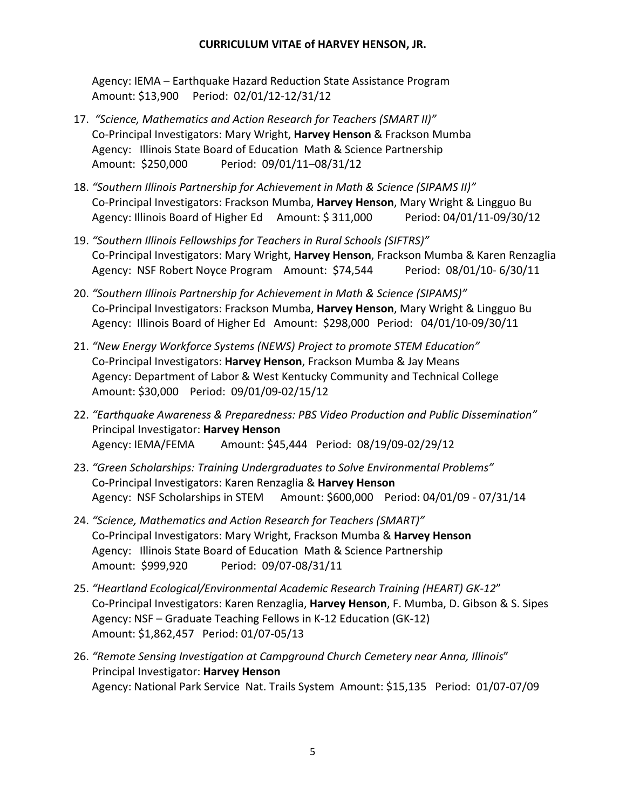Agency: IEMA – Earthquake Hazard Reduction State Assistance Program Amount: \$13,900 Period: 02/01/12‐12/31/12

- 17. *"Science, Mathematics and Action Research for Teachers (SMART II)"* Co‐Principal Investigators: Mary Wright, **Harvey Henson** & Frackson Mumba Agency: Illinois State Board of Education Math & Science Partnership Amount: \$250,000 Period: 09/01/11–08/31/12
- 18. *"Southern Illinois Partnership for Achievement in Math & Science (SIPAMS II)"* Co‐Principal Investigators: Frackson Mumba, **Harvey Henson**, Mary Wright & Lingguo Bu Agency: Illinois Board of Higher Ed Amount: \$ 311,000 Period: 04/01/11‐09/30/12
- 19. *"Southern Illinois Fellowships for Teachers in Rural Schools (SIFTRS)"* Co‐Principal Investigators: Mary Wright, **Harvey Henson**, Frackson Mumba & Karen Renzaglia Agency: NSF Robert Noyce Program Amount: \$74,544 Period: 08/01/10‐ 6/30/11
- 20. *"Southern Illinois Partnership for Achievement in Math & Science (SIPAMS)"* Co‐Principal Investigators: Frackson Mumba, **Harvey Henson**, Mary Wright & Lingguo Bu Agency: Illinois Board of Higher Ed Amount: \$298,000 Period: 04/01/10‐09/30/11
- 21. *"New Energy Workforce Systems (NEWS) Project to promote STEM Education"* Co‐Principal Investigators: **Harvey Henson**, Frackson Mumba & Jay Means Agency: Department of Labor & West Kentucky Community and Technical College Amount: \$30,000 Period: 09/01/09‐02/15/12
- 22. *"Earthquake Awareness & Preparedness: PBS Video Production and Public Dissemination"* Principal Investigator: **Harvey Henson** Agency: IEMA/FEMA Amount: \$45,444 Period: 08/19/09‐02/29/12
- 23. *"Green Scholarships: Training Undergraduates to Solve Environmental Problems"* Co‐Principal Investigators: Karen Renzaglia & **Harvey Henson** Agency: NSF Scholarships in STEM Amount: \$600,000 Period: 04/01/09 ‐ 07/31/14
- 24. *"Science, Mathematics and Action Research for Teachers (SMART)"* Co‐Principal Investigators: Mary Wright, Frackson Mumba & **Harvey Henson** Agency: Illinois State Board of Education Math & Science Partnership Amount: \$999,920 Period: 09/07‐08/31/11
- 25. *"Heartland Ecological/Environmental Academic Research Training (HEART) GK‐12*" Co‐Principal Investigators: Karen Renzaglia, **Harvey Henson**, F. Mumba, D. Gibson & S. Sipes Agency: NSF – Graduate Teaching Fellows in K‐12 Education (GK‐12) Amount: \$1,862,457 Period: 01/07‐05/13
- 26. *"Remote Sensing Investigation at Campground Church Cemetery near Anna, Illinois*" Principal Investigator: **Harvey Henson** Agency: National Park Service Nat. Trails System Amount: \$15,135 Period: 01/07‐07/09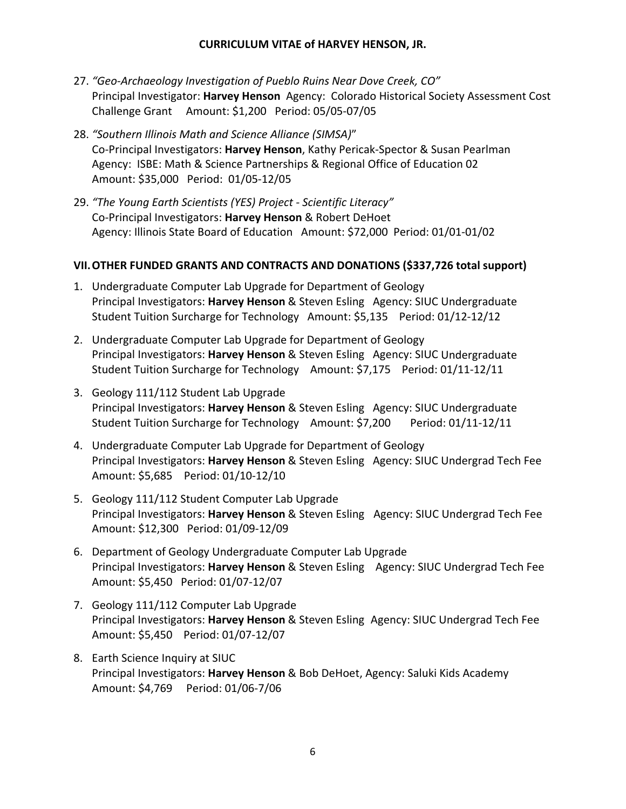- 27. *"Geo‐Archaeology Investigation of Pueblo Ruins Near Dove Creek, CO"* Principal Investigator: **Harvey Henson** Agency: Colorado Historical Society Assessment Cost Challenge Grant Amount: \$1,200 Period: 05/05‐07/05
- 28. *"Southern Illinois Math and Science Alliance (SIMSA)*" Co‐Principal Investigators: **Harvey Henson**, Kathy Pericak‐Spector & Susan Pearlman Agency: ISBE: Math & Science Partnerships & Regional Office of Education 02 Amount: \$35,000 Period: 01/05‐12/05
- 29. *"The Young Earth Scientists (YES) Project ‐ Scientific Literacy"* Co‐Principal Investigators: **Harvey Henson** & Robert DeHoet Agency: Illinois State Board of Education Amount: \$72,000 Period: 01/01‐01/02

#### **VII.OTHER FUNDED GRANTS AND CONTRACTS AND DONATIONS (\$337,726 total support)**

- 1. Undergraduate Computer Lab Upgrade for Department of Geology Principal Investigators: **Harvey Henson** & Steven Esling Agency: SIUC Undergraduate Student Tuition Surcharge for Technology Amount: \$5,135 Period: 01/12‐12/12
- 2. Undergraduate Computer Lab Upgrade for Department of Geology Principal Investigators: **Harvey Henson** & Steven Esling Agency: SIUC Undergraduate Student Tuition Surcharge for Technology Amount: \$7,175 Period: 01/11‐12/11
- 3. Geology 111/112 Student Lab Upgrade Principal Investigators: **Harvey Henson** & Steven Esling Agency: SIUC Undergraduate Student Tuition Surcharge for Technology Amount: \$7,200 Period: 01/11‐12/11
- 4. Undergraduate Computer Lab Upgrade for Department of Geology Principal Investigators: **Harvey Henson** & Steven Esling Agency: SIUC Undergrad Tech Fee Amount: \$5,685 Period: 01/10‐12/10
- 5. Geology 111/112 Student Computer Lab Upgrade Principal Investigators: **Harvey Henson** & Steven Esling Agency: SIUC Undergrad Tech Fee Amount: \$12,300 Period: 01/09‐12/09
- 6. Department of Geology Undergraduate Computer Lab Upgrade Principal Investigators: **Harvey Henson** & Steven Esling Agency: SIUC Undergrad Tech Fee Amount: \$5,450 Period: 01/07‐12/07
- 7. Geology 111/112 Computer Lab Upgrade Principal Investigators: **Harvey Henson** & Steven Esling Agency: SIUC Undergrad Tech Fee Amount: \$5,450 Period: 01/07‐12/07
- 8. Earth Science Inquiry at SIUC Principal Investigators: **Harvey Henson** & Bob DeHoet, Agency: Saluki Kids Academy Amount: \$4,769 Period: 01/06‐7/06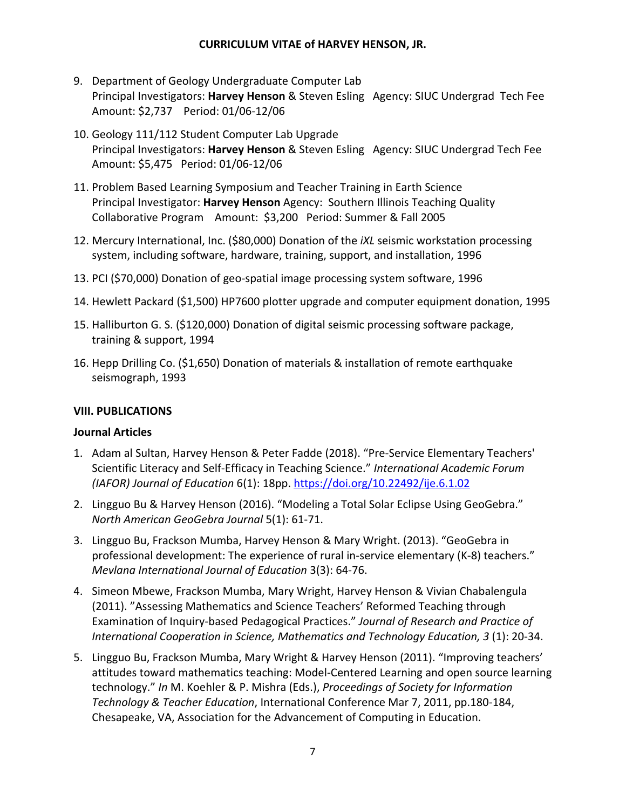- 9. Department of Geology Undergraduate Computer Lab Principal Investigators: **Harvey Henson** & Steven Esling Agency: SIUC Undergrad Tech Fee Amount: \$2,737 Period: 01/06‐12/06
- 10. Geology 111/112 Student Computer Lab Upgrade Principal Investigators: **Harvey Henson** & Steven Esling Agency: SIUC Undergrad Tech Fee Amount: \$5,475 Period: 01/06‐12/06
- 11. Problem Based Learning Symposium and Teacher Training in Earth Science Principal Investigator: **Harvey Henson** Agency: Southern Illinois Teaching Quality Collaborative Program Amount: \$3,200 Period: Summer & Fall 2005
- 12. Mercury International, Inc. (\$80,000) Donation of the *iXL* seismic workstation processing system, including software, hardware, training, support, and installation, 1996
- 13. PCI (\$70,000) Donation of geo‐spatial image processing system software, 1996
- 14. Hewlett Packard (\$1,500) HP7600 plotter upgrade and computer equipment donation, 1995
- 15. Halliburton G. S. (\$120,000) Donation of digital seismic processing software package, training & support, 1994
- 16. Hepp Drilling Co. (\$1,650) Donation of materials & installation of remote earthquake seismograph, 1993

#### **VIII. PUBLICATIONS**

#### **Journal Articles**

- 1. Adam al Sultan, Harvey Henson & Peter Fadde (2018). "Pre‐Service Elementary Teachers' Scientific Literacy and Self‐Efficacy in Teaching Science." *International Academic Forum (IAFOR) Journal of Education* 6(1): 18pp. https://doi.org/10.22492/ije.6.1.02
- 2. Lingguo Bu & Harvey Henson (2016). "Modeling a Total Solar Eclipse Using GeoGebra." *North American GeoGebra Journal* 5(1): 61‐71.
- 3. Lingguo Bu, Frackson Mumba, Harvey Henson & Mary Wright. (2013). "GeoGebra in professional development: The experience of rural in-service elementary (K-8) teachers." *Mevlana International Journal of Education* 3(3): 64‐76.
- 4. Simeon Mbewe, Frackson Mumba, Mary Wright, Harvey Henson & Vivian Chabalengula (2011). "Assessing Mathematics and Science Teachers' Reformed Teaching through Examination of Inquiry‐based Pedagogical Practices." *Journal of Research and Practice of International Cooperation in Science, Mathematics and Technology Education, 3* (1): 20‐34.
- 5. Lingguo Bu, Frackson Mumba, Mary Wright & Harvey Henson (2011). "Improving teachers' attitudes toward mathematics teaching: Model‐Centered Learning and open source learning technology." *In* M. Koehler & P. Mishra (Eds.), *Proceedings of Society for Information Technology & Teacher Education*, International Conference Mar 7, 2011, pp.180‐184, Chesapeake, VA, Association for the Advancement of Computing in Education.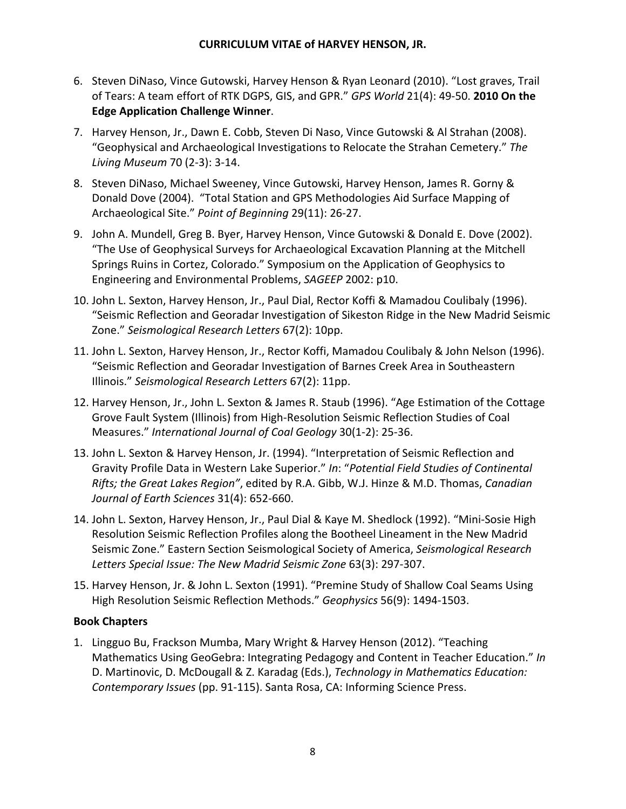- 6. Steven DiNaso, Vince Gutowski, Harvey Henson & Ryan Leonard (2010). "Lost graves, Trail of Tears: A team effort of RTK DGPS, GIS, and GPR." *GPS World* 21(4): 49‐50. **2010 On the Edge Application Challenge Winner**.
- 7. Harvey Henson, Jr., Dawn E. Cobb, Steven Di Naso, Vince Gutowski & Al Strahan (2008). "Geophysical and Archaeological Investigations to Relocate the Strahan Cemetery." *The Living Museum* 70 (2‐3): 3‐14.
- 8. Steven DiNaso, Michael Sweeney, Vince Gutowski, Harvey Henson, James R. Gorny & Donald Dove (2004). "Total Station and GPS Methodologies Aid Surface Mapping of Archaeological Site." *Point of Beginning* 29(11): 26‐27.
- 9. John A. Mundell, Greg B. Byer, Harvey Henson, Vince Gutowski & Donald E. Dove (2002). "The Use of Geophysical Surveys for Archaeological Excavation Planning at the Mitchell Springs Ruins in Cortez, Colorado." Symposium on the Application of Geophysics to Engineering and Environmental Problems, *SAGEEP* 2002: p10.
- 10. John L. Sexton, Harvey Henson, Jr., Paul Dial, Rector Koffi & Mamadou Coulibaly (1996). "Seismic Reflection and Georadar Investigation of Sikeston Ridge in the New Madrid Seismic Zone." *Seismological Research Letters* 67(2): 10pp.
- 11. John L. Sexton, Harvey Henson, Jr., Rector Koffi, Mamadou Coulibaly & John Nelson (1996). "Seismic Reflection and Georadar Investigation of Barnes Creek Area in Southeastern Illinois." *Seismological Research Letters* 67(2): 11pp.
- 12. Harvey Henson, Jr., John L. Sexton & James R. Staub (1996). "Age Estimation of the Cottage Grove Fault System (Illinois) from High‐Resolution Seismic Reflection Studies of Coal Measures." *International Journal of Coal Geology* 30(1‐2): 25‐36.
- 13. John L. Sexton & Harvey Henson, Jr. (1994). "Interpretation of Seismic Reflection and Gravity Profile Data in Western Lake Superior." *In*: "*Potential Field Studies of Continental Rifts; the Great Lakes Region"*, edited by R.A. Gibb, W.J. Hinze & M.D. Thomas, *Canadian Journal of Earth Sciences* 31(4): 652‐660.
- 14. John L. Sexton, Harvey Henson, Jr., Paul Dial & Kaye M. Shedlock (1992). "Mini‐Sosie High Resolution Seismic Reflection Profiles along the Bootheel Lineament in the New Madrid Seismic Zone." Eastern Section Seismological Society of America, *Seismological Research Letters Special Issue: The New Madrid Seismic Zone* 63(3): 297‐307.
- 15. Harvey Henson, Jr. & John L. Sexton (1991). "Premine Study of Shallow Coal Seams Using High Resolution Seismic Reflection Methods." *Geophysics* 56(9): 1494‐1503.

# **Book Chapters**

1. Lingguo Bu, Frackson Mumba, Mary Wright & Harvey Henson (2012). "Teaching Mathematics Using GeoGebra: Integrating Pedagogy and Content in Teacher Education." *In* D. Martinovic, D. McDougall & Z. Karadag (Eds.), *Technology in Mathematics Education: Contemporary Issues* (pp. 91‐115). Santa Rosa, CA: Informing Science Press.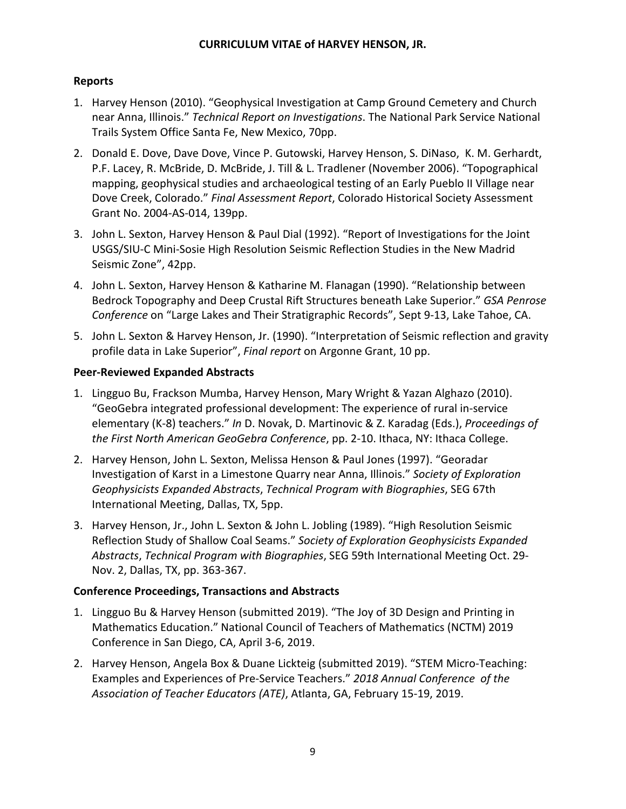## **Reports**

- 1. Harvey Henson (2010). "Geophysical Investigation at Camp Ground Cemetery and Church near Anna, Illinois." *Technical Report on Investigations*. The National Park Service National Trails System Office Santa Fe, New Mexico, 70pp.
- 2. Donald E. Dove, Dave Dove, Vince P. Gutowski, Harvey Henson, S. DiNaso, K. M. Gerhardt, P.F. Lacey, R. McBride, D. McBride, J. Till & L. Tradlener (November 2006). "Topographical mapping, geophysical studies and archaeological testing of an Early Pueblo II Village near Dove Creek, Colorado." *Final Assessment Report*, Colorado Historical Society Assessment Grant No. 2004‐AS‐014, 139pp.
- 3. John L. Sexton, Harvey Henson & Paul Dial (1992). "Report of Investigations for the Joint USGS/SIU‐C Mini‐Sosie High Resolution Seismic Reflection Studies in the New Madrid Seismic Zone", 42pp.
- 4. John L. Sexton, Harvey Henson & Katharine M. Flanagan (1990). "Relationship between Bedrock Topography and Deep Crustal Rift Structures beneath Lake Superior." *GSA Penrose Conference* on "Large Lakes and Their Stratigraphic Records", Sept 9‐13, Lake Tahoe, CA.
- 5. John L. Sexton & Harvey Henson, Jr. (1990). "Interpretation of Seismic reflection and gravity profile data in Lake Superior", *Final report* on Argonne Grant, 10 pp.

## **Peer‐Reviewed Expanded Abstracts**

- 1. Lingguo Bu, Frackson Mumba, Harvey Henson, Mary Wright & Yazan Alghazo (2010). "GeoGebra integrated professional development: The experience of rural in‐service elementary (K‐8) teachers." *In* D. Novak, D. Martinovic & Z. Karadag (Eds.), *Proceedings of the First North American GeoGebra Conference*, pp. 2‐10. Ithaca, NY: Ithaca College.
- 2. Harvey Henson, John L. Sexton, Melissa Henson & Paul Jones (1997). "Georadar Investigation of Karst in a Limestone Quarry near Anna, Illinois." *Society of Exploration Geophysicists Expanded Abstracts*, *Technical Program with Biographies*, SEG 67th International Meeting, Dallas, TX, 5pp.
- 3. Harvey Henson, Jr., John L. Sexton & John L. Jobling (1989). "High Resolution Seismic Reflection Study of Shallow Coal Seams." *Society of Exploration Geophysicists Expanded Abstracts*, *Technical Program with Biographies*, SEG 59th International Meeting Oct. 29‐ Nov. 2, Dallas, TX, pp. 363‐367.

## **Conference Proceedings, Transactions and Abstracts**

- 1. Lingguo Bu & Harvey Henson (submitted 2019). "The Joy of 3D Design and Printing in Mathematics Education." National Council of Teachers of Mathematics (NCTM) 2019 Conference in San Diego, CA, April 3‐6, 2019.
- 2. Harvey Henson, Angela Box & Duane Lickteig (submitted 2019). "STEM Micro‐Teaching: Examples and Experiences of Pre‐Service Teachers." *2018 Annual Conference of the Association of Teacher Educators (ATE)*, Atlanta, GA, February 15‐19, 2019.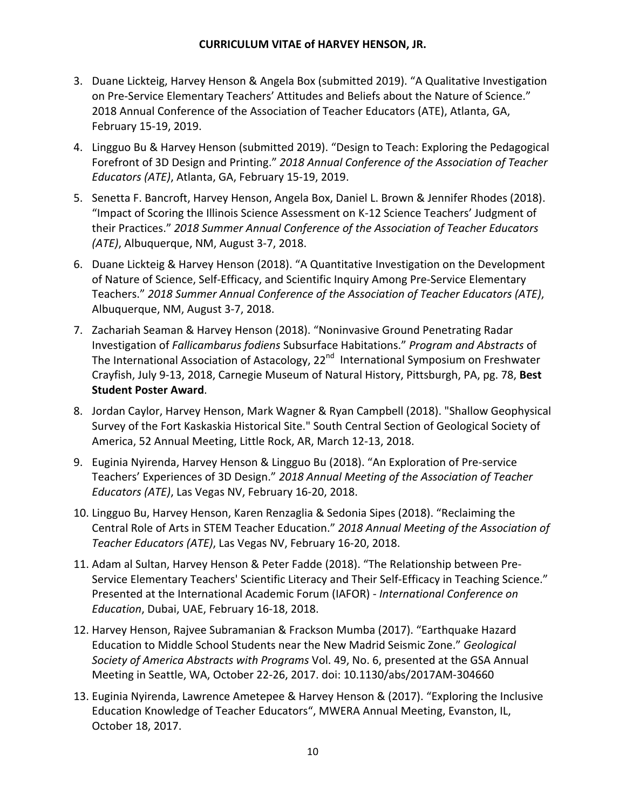- 3. Duane Lickteig, Harvey Henson & Angela Box (submitted 2019). "A Qualitative Investigation on Pre-Service Elementary Teachers' Attitudes and Beliefs about the Nature of Science." 2018 Annual Conference of the Association of Teacher Educators (ATE), Atlanta, GA, February 15‐19, 2019.
- 4. Lingguo Bu & Harvey Henson (submitted 2019). "Design to Teach: Exploring the Pedagogical Forefront of 3D Design and Printing." *2018 Annual Conference of the Association of Teacher Educators (ATE)*, Atlanta, GA, February 15‐19, 2019.
- 5. Senetta F. Bancroft, Harvey Henson, Angela Box, Daniel L. Brown & Jennifer Rhodes (2018). "Impact of Scoring the Illinois Science Assessment on K‐12 Science Teachers' Judgment of their Practices." *2018 Summer Annual Conference of the Association of Teacher Educators (ATE)*, Albuquerque, NM, August 3‐7, 2018.
- 6. Duane Lickteig & Harvey Henson (2018). "A Quantitative Investigation on the Development of Nature of Science, Self‐Efficacy, and Scientific Inquiry Among Pre‐Service Elementary Teachers." *2018 Summer Annual Conference of the Association of Teacher Educators (ATE)*, Albuquerque, NM, August 3‐7, 2018.
- 7. Zachariah Seaman & Harvey Henson (2018). "Noninvasive Ground Penetrating Radar Investigation of *Fallicambarus fodiens* Subsurface Habitations." *Program and Abstracts* of The International Association of Astacology, 22<sup>nd</sup> International Symposium on Freshwater Crayfish, July 9‐13, 2018, Carnegie Museum of Natural History, Pittsburgh, PA, pg. 78, **Best Student Poster Award**.
- 8. Jordan Caylor, Harvey Henson, Mark Wagner & Ryan Campbell (2018). "Shallow Geophysical Survey of the Fort Kaskaskia Historical Site." South Central Section of Geological Society of America, 52 Annual Meeting, Little Rock, AR, March 12‐13, 2018.
- 9. Euginia Nyirenda, Harvey Henson & Lingguo Bu (2018). "An Exploration of Pre-service Teachers' Experiences of 3D Design." *2018 Annual Meeting of the Association of Teacher Educators (ATE)*, Las Vegas NV, February 16‐20, 2018.
- 10. Lingguo Bu, Harvey Henson, Karen Renzaglia & Sedonia Sipes (2018). "Reclaiming the Central Role of Arts in STEM Teacher Education." *2018 Annual Meeting of the Association of Teacher Educators (ATE)*, Las Vegas NV, February 16‐20, 2018.
- 11. Adam al Sultan, Harvey Henson & Peter Fadde (2018). "The Relationship between Pre‐ Service Elementary Teachers' Scientific Literacy and Their Self‐Efficacy in Teaching Science." Presented at the International Academic Forum (IAFOR) ‐ *International Conference on Education*, Dubai, UAE, February 16‐18, 2018.
- 12. Harvey Henson, Rajvee Subramanian & Frackson Mumba (2017). "Earthquake Hazard Education to Middle School Students near the New Madrid Seismic Zone." *Geological Society of America Abstracts with Programs* Vol. 49, No. 6, presented at the GSA Annual Meeting in Seattle, WA, October 22‐26, 2017. doi: 10.1130/abs/2017AM‐304660
- 13. Euginia Nyirenda, Lawrence Ametepee & Harvey Henson & (2017). "Exploring the Inclusive Education Knowledge of Teacher Educators", MWERA Annual Meeting, Evanston, IL, October 18, 2017.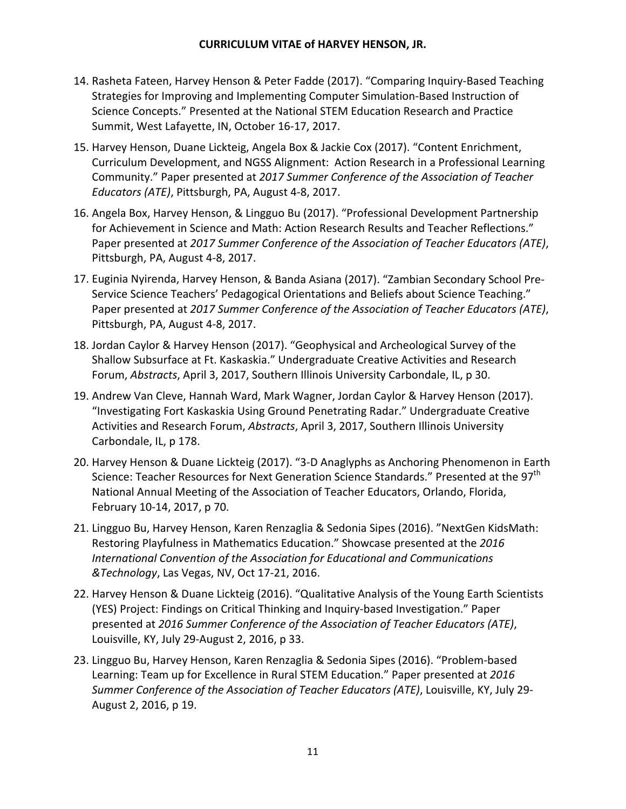- 14. Rasheta Fateen, Harvey Henson & Peter Fadde (2017). "Comparing Inquiry‐Based Teaching Strategies for Improving and Implementing Computer Simulation‐Based Instruction of Science Concepts." Presented at the National STEM Education Research and Practice Summit, West Lafayette, IN, October 16‐17, 2017.
- 15. Harvey Henson, Duane Lickteig, Angela Box & Jackie Cox (2017). "Content Enrichment, Curriculum Development, and NGSS Alignment: Action Research in a Professional Learning Community." Paper presented at *2017 Summer Conference of the Association of Teacher Educators (ATE)*, Pittsburgh, PA, August 4‐8, 2017.
- 16. Angela Box, Harvey Henson, & Lingguo Bu (2017). "Professional Development Partnership for Achievement in Science and Math: Action Research Results and Teacher Reflections." Paper presented at *2017 Summer Conference of the Association of Teacher Educators (ATE)*, Pittsburgh, PA, August 4‐8, 2017.
- 17. Euginia Nyirenda, Harvey Henson, & Banda Asiana (2017). "Zambian Secondary School Pre‐ Service Science Teachers' Pedagogical Orientations and Beliefs about Science Teaching." Paper presented at *2017 Summer Conference of the Association of Teacher Educators (ATE)*, Pittsburgh, PA, August 4‐8, 2017.
- 18. Jordan Caylor & Harvey Henson (2017). "Geophysical and Archeological Survey of the Shallow Subsurface at Ft. Kaskaskia." Undergraduate Creative Activities and Research Forum, *Abstracts*, April 3, 2017, Southern Illinois University Carbondale, IL, p 30.
- 19. Andrew Van Cleve, Hannah Ward, Mark Wagner, Jordan Caylor & Harvey Henson (2017). "Investigating Fort Kaskaskia Using Ground Penetrating Radar." Undergraduate Creative Activities and Research Forum, *Abstracts*, April 3, 2017, Southern Illinois University Carbondale, IL, p 178.
- 20. Harvey Henson & Duane Lickteig (2017). "3‐D Anaglyphs as Anchoring Phenomenon in Earth Science: Teacher Resources for Next Generation Science Standards." Presented at the 97<sup>th</sup> National Annual Meeting of the Association of Teacher Educators, Orlando, Florida, February 10‐14, 2017, p 70.
- 21. Lingguo Bu, Harvey Henson, Karen Renzaglia & Sedonia Sipes (2016). "NextGen KidsMath: Restoring Playfulness in Mathematics Education." Showcase presented at the *2016 International Convention of the Association for Educational and Communications &Technology*, Las Vegas, NV, Oct 17‐21, 2016.
- 22. Harvey Henson & Duane Lickteig (2016). "Qualitative Analysis of the Young Earth Scientists (YES) Project: Findings on Critical Thinking and Inquiry‐based Investigation." Paper presented at *2016 Summer Conference of the Association of Teacher Educators (ATE)*, Louisville, KY, July 29‐August 2, 2016, p 33.
- 23. Lingguo Bu, Harvey Henson, Karen Renzaglia & Sedonia Sipes (2016). "Problem‐based Learning: Team up for Excellence in Rural STEM Education." Paper presented at *2016 Summer Conference of the Association of Teacher Educators (ATE)*, Louisville, KY, July 29‐ August 2, 2016, p 19.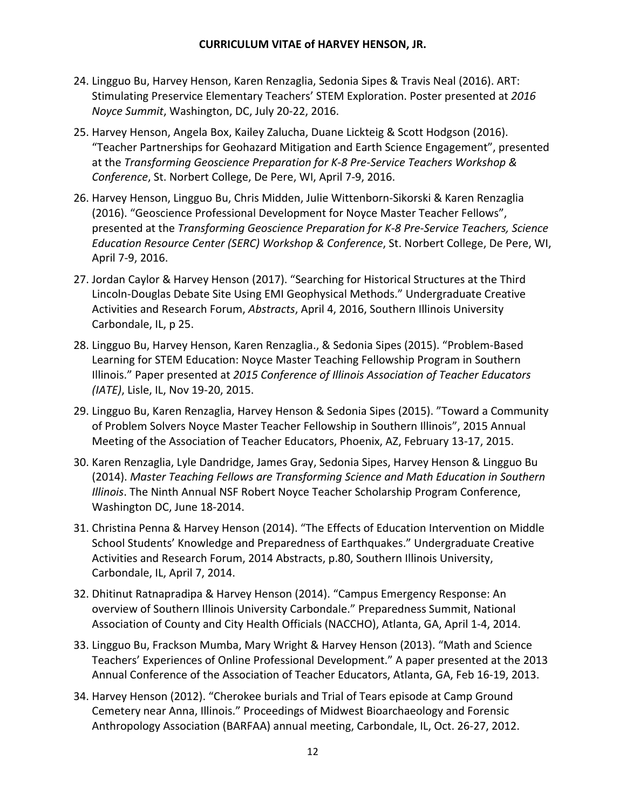- 24. Lingguo Bu, Harvey Henson, Karen Renzaglia, Sedonia Sipes & Travis Neal (2016). ART: Stimulating Preservice Elementary Teachers' STEM Exploration. Poster presented at *2016 Noyce Summit*, Washington, DC, July 20‐22, 2016.
- 25. Harvey Henson, Angela Box, Kailey Zalucha, Duane Lickteig & Scott Hodgson (2016). "Teacher Partnerships for Geohazard Mitigation and Earth Science Engagement", presented at the *Transforming Geoscience Preparation for K‐8 Pre‐Service Teachers Workshop & Conference*, St. Norbert College, De Pere, WI, April 7‐9, 2016.
- 26. Harvey Henson, Lingguo Bu, Chris Midden, Julie Wittenborn‐Sikorski & Karen Renzaglia (2016). "Geoscience Professional Development for Noyce Master Teacher Fellows", presented at the *Transforming Geoscience Preparation for K‐8 Pre‐Service Teachers, Science Education Resource Center (SERC) Workshop & Conference*, St. Norbert College, De Pere, WI, April 7‐9, 2016.
- 27. Jordan Caylor & Harvey Henson (2017). "Searching for Historical Structures at the Third Lincoln‐Douglas Debate Site Using EMI Geophysical Methods." Undergraduate Creative Activities and Research Forum, *Abstracts*, April 4, 2016, Southern Illinois University Carbondale, IL, p 25.
- 28. Lingguo Bu, Harvey Henson, Karen Renzaglia., & Sedonia Sipes (2015). "Problem‐Based Learning for STEM Education: Noyce Master Teaching Fellowship Program in Southern Illinois." Paper presented at *2015 Conference of Illinois Association of Teacher Educators (IATE)*, Lisle, IL, Nov 19‐20, 2015.
- 29. Lingguo Bu, Karen Renzaglia, Harvey Henson & Sedonia Sipes (2015). "Toward a Community of Problem Solvers Noyce Master Teacher Fellowship in Southern Illinois", 2015 Annual Meeting of the Association of Teacher Educators, Phoenix, AZ, February 13‐17, 2015.
- 30. Karen Renzaglia, Lyle Dandridge, James Gray, Sedonia Sipes, Harvey Henson & Lingguo Bu (2014). *Master Teaching Fellows are Transforming Science and Math Education in Southern Illinois*. The Ninth Annual NSF Robert Noyce Teacher Scholarship Program Conference, Washington DC, June 18‐2014.
- 31. Christina Penna & Harvey Henson (2014). "The Effects of Education Intervention on Middle School Students' Knowledge and Preparedness of Earthquakes." Undergraduate Creative Activities and Research Forum, 2014 Abstracts, p.80, Southern Illinois University, Carbondale, IL, April 7, 2014.
- 32. Dhitinut Ratnapradipa & Harvey Henson (2014). "Campus Emergency Response: An overview of Southern Illinois University Carbondale." Preparedness Summit, National Association of County and City Health Officials (NACCHO), Atlanta, GA, April 1‐4, 2014.
- 33. Lingguo Bu, Frackson Mumba, Mary Wright & Harvey Henson (2013). "Math and Science Teachers' Experiences of Online Professional Development." A paper presented at the 2013 Annual Conference of the Association of Teacher Educators, Atlanta, GA, Feb 16‐19, 2013.
- 34. Harvey Henson (2012). "Cherokee burials and Trial of Tears episode at Camp Ground Cemetery near Anna, Illinois." Proceedings of Midwest Bioarchaeology and Forensic Anthropology Association (BARFAA) annual meeting, Carbondale, IL, Oct. 26‐27, 2012.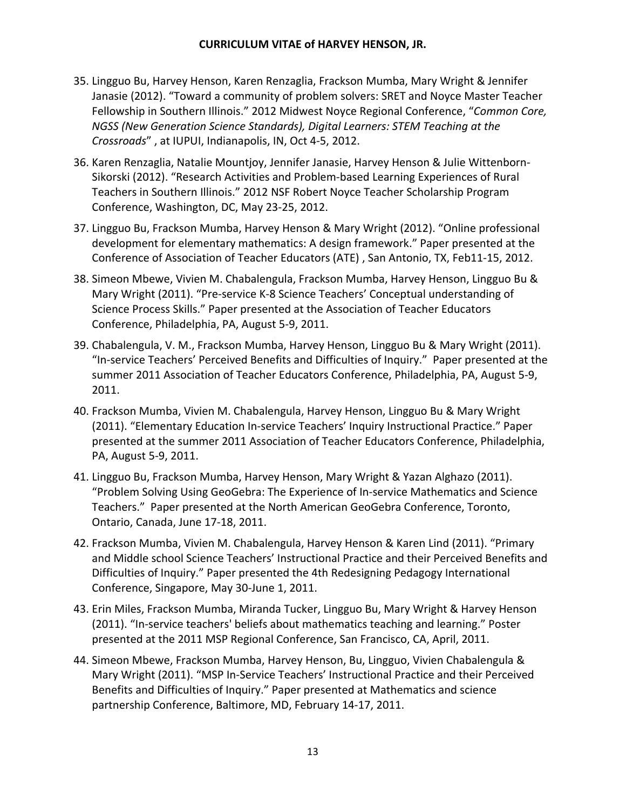- 35. Lingguo Bu, Harvey Henson, Karen Renzaglia, Frackson Mumba, Mary Wright & Jennifer Janasie (2012). "Toward a community of problem solvers: SRET and Noyce Master Teacher Fellowship in Southern Illinois." 2012 Midwest Noyce Regional Conference, "*Common Core, NGSS (New Generation Science Standards), Digital Learners: STEM Teaching at the Crossroads*" , at IUPUI, Indianapolis, IN, Oct 4‐5, 2012.
- 36. Karen Renzaglia, Natalie Mountjoy, Jennifer Janasie, Harvey Henson & Julie Wittenborn‐ Sikorski (2012). "Research Activities and Problem‐based Learning Experiences of Rural Teachers in Southern Illinois." 2012 NSF Robert Noyce Teacher Scholarship Program Conference, Washington, DC, May 23‐25, 2012.
- 37. Lingguo Bu, Frackson Mumba, Harvey Henson & Mary Wright (2012). "Online professional development for elementary mathematics: A design framework." Paper presented at the Conference of Association of Teacher Educators (ATE) , San Antonio, TX, Feb11‐15, 2012.
- 38. Simeon Mbewe, Vivien M. Chabalengula, Frackson Mumba, Harvey Henson, Lingguo Bu & Mary Wright (2011). "Pre‐service K‐8 Science Teachers' Conceptual understanding of Science Process Skills." Paper presented at the Association of Teacher Educators Conference, Philadelphia, PA, August 5‐9, 2011.
- 39. Chabalengula, V. M., Frackson Mumba, Harvey Henson, Lingguo Bu & Mary Wright (2011). "In‐service Teachers' Perceived Benefits and Difficulties of Inquiry." Paper presented at the summer 2011 Association of Teacher Educators Conference, Philadelphia, PA, August 5‐9, 2011.
- 40. Frackson Mumba, Vivien M. Chabalengula, Harvey Henson, Lingguo Bu & Mary Wright (2011). "Elementary Education In‐service Teachers' Inquiry Instructional Practice." Paper presented at the summer 2011 Association of Teacher Educators Conference, Philadelphia, PA, August 5‐9, 2011.
- 41. Lingguo Bu, Frackson Mumba, Harvey Henson, Mary Wright & Yazan Alghazo (2011). "Problem Solving Using GeoGebra: The Experience of In‐service Mathematics and Science Teachers." Paper presented at the North American GeoGebra Conference, Toronto, Ontario, Canada, June 17‐18, 2011.
- 42. Frackson Mumba, Vivien M. Chabalengula, Harvey Henson & Karen Lind (2011). "Primary and Middle school Science Teachers' Instructional Practice and their Perceived Benefits and Difficulties of Inquiry." Paper presented the 4th Redesigning Pedagogy International Conference, Singapore, May 30‐June 1, 2011.
- 43. Erin Miles, Frackson Mumba, Miranda Tucker, Lingguo Bu, Mary Wright & Harvey Henson (2011). "In‐service teachers' beliefs about mathematics teaching and learning." Poster presented at the 2011 MSP Regional Conference, San Francisco, CA, April, 2011.
- 44. Simeon Mbewe, Frackson Mumba, Harvey Henson, Bu, Lingguo, Vivien Chabalengula & Mary Wright (2011). "MSP In‐Service Teachers' Instructional Practice and their Perceived Benefits and Difficulties of Inquiry." Paper presented at Mathematics and science partnership Conference, Baltimore, MD, February 14‐17, 2011.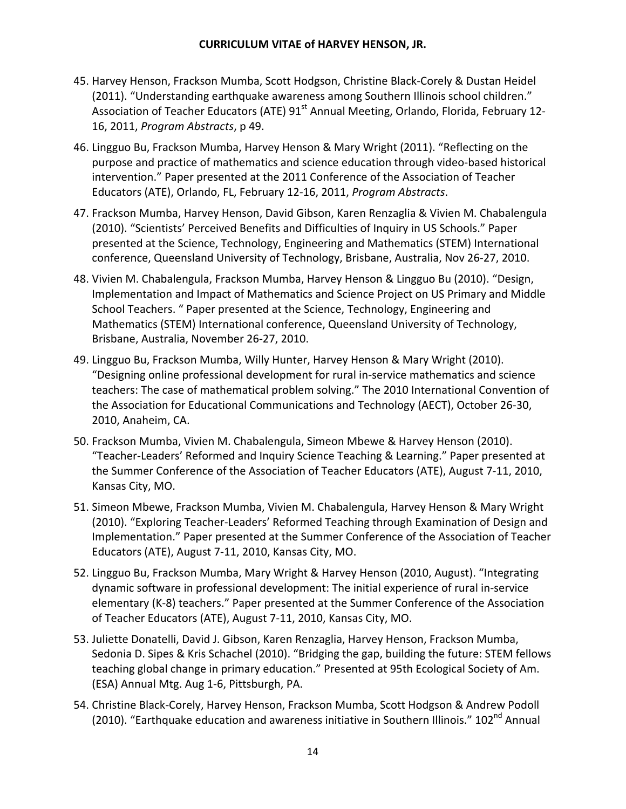- 45. Harvey Henson, Frackson Mumba, Scott Hodgson, Christine Black‐Corely & Dustan Heidel (2011). "Understanding earthquake awareness among Southern Illinois school children." Association of Teacher Educators (ATE) 91<sup>st</sup> Annual Meeting, Orlando, Florida, February 12-16, 2011, *Program Abstracts*, p 49.
- 46. Lingguo Bu, Frackson Mumba, Harvey Henson & Mary Wright (2011). "Reflecting on the purpose and practice of mathematics and science education through video‐based historical intervention." Paper presented at the 2011 Conference of the Association of Teacher Educators (ATE), Orlando, FL, February 12‐16, 2011, *Program Abstracts*.
- 47. Frackson Mumba, Harvey Henson, David Gibson, Karen Renzaglia & Vivien M. Chabalengula (2010). "Scientists' Perceived Benefits and Difficulties of Inquiry in US Schools." Paper presented at the Science, Technology, Engineering and Mathematics (STEM) International conference, Queensland University of Technology, Brisbane, Australia, Nov 26‐27, 2010.
- 48. Vivien M. Chabalengula, Frackson Mumba, Harvey Henson & Lingguo Bu (2010). "Design, Implementation and Impact of Mathematics and Science Project on US Primary and Middle School Teachers. " Paper presented at the Science, Technology, Engineering and Mathematics (STEM) International conference, Queensland University of Technology, Brisbane, Australia, November 26‐27, 2010.
- 49. Lingguo Bu, Frackson Mumba, Willy Hunter, Harvey Henson & Mary Wright (2010). "Designing online professional development for rural in‐service mathematics and science teachers: The case of mathematical problem solving." The 2010 International Convention of the Association for Educational Communications and Technology (AECT), October 26‐30, 2010, Anaheim, CA.
- 50. Frackson Mumba, Vivien M. Chabalengula, Simeon Mbewe & Harvey Henson (2010). "Teacher‐Leaders' Reformed and Inquiry Science Teaching & Learning." Paper presented at the Summer Conference of the Association of Teacher Educators (ATE), August 7‐11, 2010, Kansas City, MO.
- 51. Simeon Mbewe, Frackson Mumba, Vivien M. Chabalengula, Harvey Henson & Mary Wright (2010). "Exploring Teacher‐Leaders' Reformed Teaching through Examination of Design and Implementation." Paper presented at the Summer Conference of the Association of Teacher Educators (ATE), August 7‐11, 2010, Kansas City, MO.
- 52. Lingguo Bu, Frackson Mumba, Mary Wright & Harvey Henson (2010, August). "Integrating dynamic software in professional development: The initial experience of rural in‐service elementary (K‐8) teachers." Paper presented at the Summer Conference of the Association of Teacher Educators (ATE), August 7‐11, 2010, Kansas City, MO.
- 53. Juliette Donatelli, David J. Gibson, Karen Renzaglia, Harvey Henson, Frackson Mumba, Sedonia D. Sipes & Kris Schachel (2010). "Bridging the gap, building the future: STEM fellows teaching global change in primary education." Presented at 95th Ecological Society of Am. (ESA) Annual Mtg. Aug 1‐6, Pittsburgh, PA.
- 54. Christine Black‐Corely, Harvey Henson, Frackson Mumba, Scott Hodgson & Andrew Podoll (2010). "Earthquake education and awareness initiative in Southern Illinois." 102<sup>nd</sup> Annual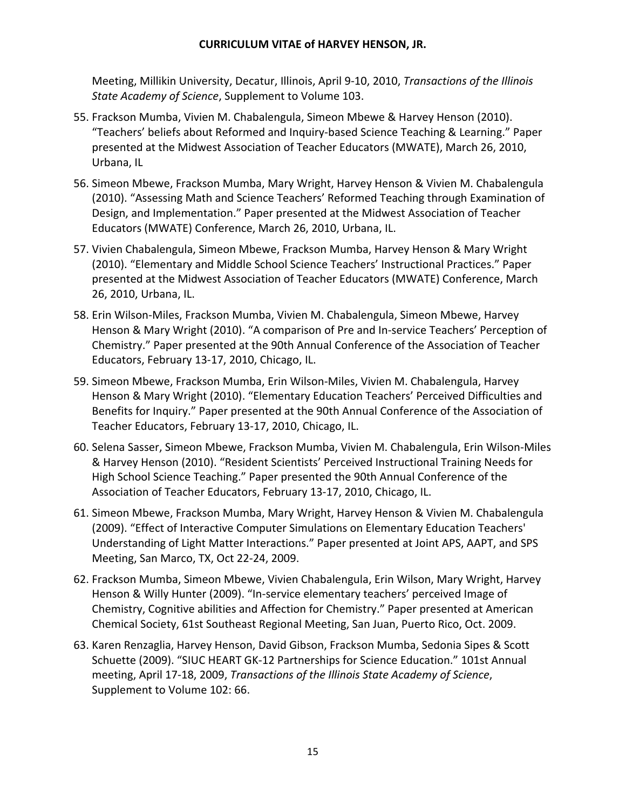Meeting, Millikin University, Decatur, Illinois, April 9‐10, 2010, *Transactions of the Illinois State Academy of Science*, Supplement to Volume 103.

- 55. Frackson Mumba, Vivien M. Chabalengula, Simeon Mbewe & Harvey Henson (2010). "Teachers' beliefs about Reformed and Inquiry‐based Science Teaching & Learning." Paper presented at the Midwest Association of Teacher Educators (MWATE), March 26, 2010, Urbana, IL
- 56. Simeon Mbewe, Frackson Mumba, Mary Wright, Harvey Henson & Vivien M. Chabalengula (2010). "Assessing Math and Science Teachers' Reformed Teaching through Examination of Design, and Implementation." Paper presented at the Midwest Association of Teacher Educators (MWATE) Conference, March 26, 2010, Urbana, IL.
- 57. Vivien Chabalengula, Simeon Mbewe, Frackson Mumba, Harvey Henson & Mary Wright (2010). "Elementary and Middle School Science Teachers' Instructional Practices." Paper presented at the Midwest Association of Teacher Educators (MWATE) Conference, March 26, 2010, Urbana, IL.
- 58. Erin Wilson‐Miles, Frackson Mumba, Vivien M. Chabalengula, Simeon Mbewe, Harvey Henson & Mary Wright (2010). "A comparison of Pre and In‐service Teachers' Perception of Chemistry." Paper presented at the 90th Annual Conference of the Association of Teacher Educators, February 13‐17, 2010, Chicago, IL.
- 59. Simeon Mbewe, Frackson Mumba, Erin Wilson‐Miles, Vivien M. Chabalengula, Harvey Henson & Mary Wright (2010). "Elementary Education Teachers' Perceived Difficulties and Benefits for Inquiry." Paper presented at the 90th Annual Conference of the Association of Teacher Educators, February 13‐17, 2010, Chicago, IL.
- 60. Selena Sasser, Simeon Mbewe, Frackson Mumba, Vivien M. Chabalengula, Erin Wilson‐Miles & Harvey Henson (2010). "Resident Scientists' Perceived Instructional Training Needs for High School Science Teaching." Paper presented the 90th Annual Conference of the Association of Teacher Educators, February 13‐17, 2010, Chicago, IL.
- 61. Simeon Mbewe, Frackson Mumba, Mary Wright, Harvey Henson & Vivien M. Chabalengula (2009). "Effect of Interactive Computer Simulations on Elementary Education Teachers' Understanding of Light Matter Interactions." Paper presented at Joint APS, AAPT, and SPS Meeting, San Marco, TX, Oct 22‐24, 2009.
- 62. Frackson Mumba, Simeon Mbewe, Vivien Chabalengula, Erin Wilson, Mary Wright, Harvey Henson & Willy Hunter (2009). "In‐service elementary teachers' perceived Image of Chemistry, Cognitive abilities and Affection for Chemistry." Paper presented at American Chemical Society, 61st Southeast Regional Meeting, San Juan, Puerto Rico, Oct. 2009.
- 63. Karen Renzaglia, Harvey Henson, David Gibson, Frackson Mumba, Sedonia Sipes & Scott Schuette (2009). "SIUC HEART GK‐12 Partnerships for Science Education." 101st Annual meeting, April 17‐18, 2009, *Transactions of the Illinois State Academy of Science*, Supplement to Volume 102: 66.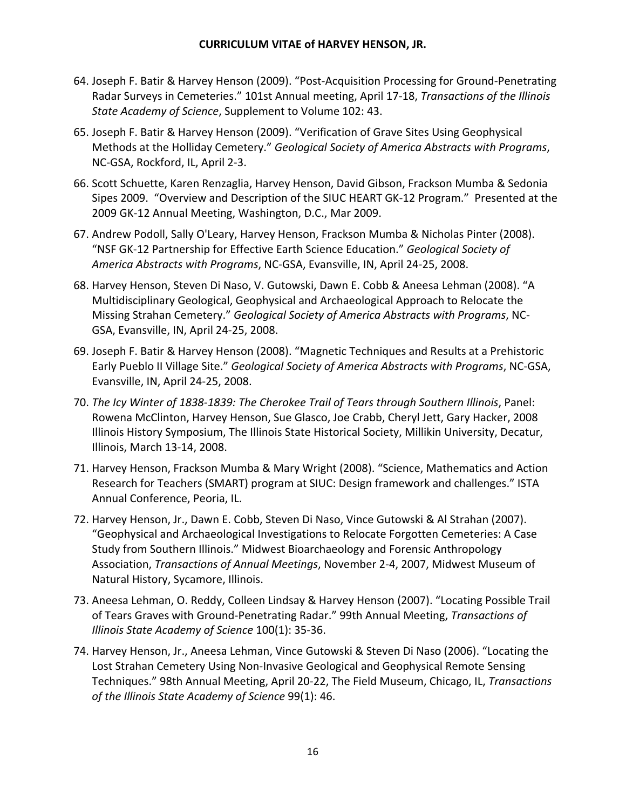- 64. Joseph F. Batir & Harvey Henson (2009). "Post‐Acquisition Processing for Ground‐Penetrating Radar Surveys in Cemeteries." 101st Annual meeting, April 17‐18, *Transactions of the Illinois State Academy of Science*, Supplement to Volume 102: 43.
- 65. Joseph F. Batir & Harvey Henson (2009). "Verification of Grave Sites Using Geophysical Methods at the Holliday Cemetery." *Geological Society of America Abstracts with Programs*, NC‐GSA, Rockford, IL, April 2‐3.
- 66. Scott Schuette, Karen Renzaglia, Harvey Henson, David Gibson, Frackson Mumba & Sedonia Sipes 2009. "Overview and Description of the SIUC HEART GK‐12 Program." Presented at the 2009 GK‐12 Annual Meeting, Washington, D.C., Mar 2009.
- 67. Andrew Podoll, Sally O'Leary, Harvey Henson, Frackson Mumba & Nicholas Pinter (2008). "NSF GK‐12 Partnership for Effective Earth Science Education." *Geological Society of America Abstracts with Programs*, NC‐GSA, Evansville, IN, April 24‐25, 2008.
- 68. Harvey Henson, Steven Di Naso, V. Gutowski, Dawn E. Cobb & Aneesa Lehman (2008). "A Multidisciplinary Geological, Geophysical and Archaeological Approach to Relocate the Missing Strahan Cemetery." *Geological Society of America Abstracts with Programs*, NC‐ GSA, Evansville, IN, April 24‐25, 2008.
- 69. Joseph F. Batir & Harvey Henson (2008). "Magnetic Techniques and Results at a Prehistoric Early Pueblo II Village Site." *Geological Society of America Abstracts with Programs*, NC‐GSA, Evansville, IN, April 24‐25, 2008.
- 70. *The Icy Winter of 1838‐1839: The Cherokee Trail of Tears through Southern Illinois*, Panel: Rowena McClinton, Harvey Henson, Sue Glasco, Joe Crabb, Cheryl Jett, Gary Hacker, 2008 Illinois History Symposium, The Illinois State Historical Society, Millikin University, Decatur, Illinois, March 13‐14, 2008.
- 71. Harvey Henson, Frackson Mumba & Mary Wright (2008). "Science, Mathematics and Action Research for Teachers (SMART) program at SIUC: Design framework and challenges." ISTA Annual Conference, Peoria, IL.
- 72. Harvey Henson, Jr., Dawn E. Cobb, Steven Di Naso, Vince Gutowski & Al Strahan (2007). "Geophysical and Archaeological Investigations to Relocate Forgotten Cemeteries: A Case Study from Southern Illinois." Midwest Bioarchaeology and Forensic Anthropology Association, *Transactions of Annual Meetings*, November 2‐4, 2007, Midwest Museum of Natural History, Sycamore, Illinois.
- 73. Aneesa Lehman, O. Reddy, Colleen Lindsay & Harvey Henson (2007). "Locating Possible Trail of Tears Graves with Ground‐Penetrating Radar." 99th Annual Meeting, *Transactions of Illinois State Academy of Science* 100(1): 35‐36.
- 74. Harvey Henson, Jr., Aneesa Lehman, Vince Gutowski & Steven Di Naso (2006). "Locating the Lost Strahan Cemetery Using Non‐Invasive Geological and Geophysical Remote Sensing Techniques." 98th Annual Meeting, April 20‐22, The Field Museum, Chicago, IL, *Transactions of the Illinois State Academy of Science* 99(1): 46.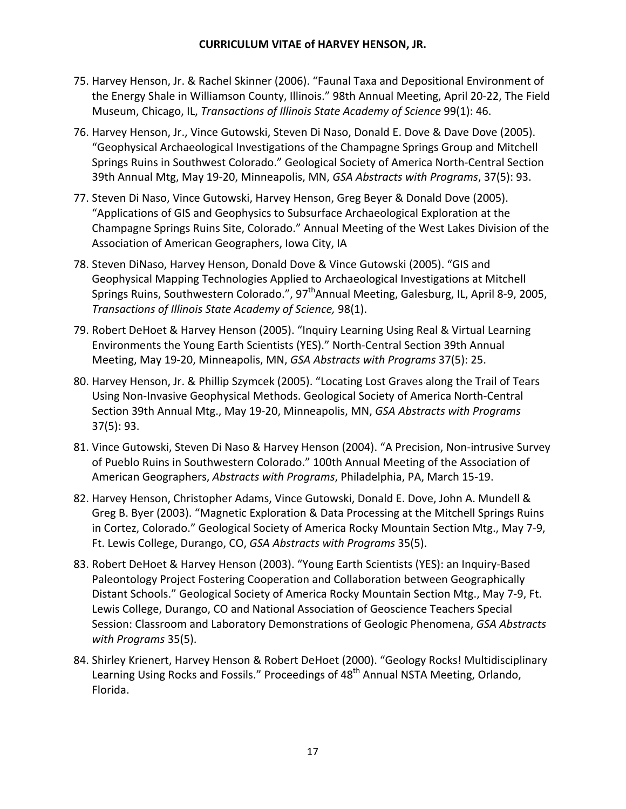- 75. Harvey Henson, Jr. & Rachel Skinner (2006). "Faunal Taxa and Depositional Environment of the Energy Shale in Williamson County, Illinois." 98th Annual Meeting, April 20‐22, The Field Museum, Chicago, IL, *Transactions of Illinois State Academy of Science* 99(1): 46.
- 76. Harvey Henson, Jr., Vince Gutowski, Steven Di Naso, Donald E. Dove & Dave Dove (2005). "Geophysical Archaeological Investigations of the Champagne Springs Group and Mitchell Springs Ruins in Southwest Colorado." Geological Society of America North‐Central Section 39th Annual Mtg, May 19‐20, Minneapolis, MN, *GSA Abstracts with Programs*, 37(5): 93.
- 77. Steven Di Naso, Vince Gutowski, Harvey Henson, Greg Beyer & Donald Dove (2005). "Applications of GIS and Geophysics to Subsurface Archaeological Exploration at the Champagne Springs Ruins Site, Colorado." Annual Meeting of the West Lakes Division of the Association of American Geographers, Iowa City, IA
- 78. Steven DiNaso, Harvey Henson, Donald Dove & Vince Gutowski (2005). "GIS and Geophysical Mapping Technologies Applied to Archaeological Investigations at Mitchell Springs Ruins, Southwestern Colorado.", 97<sup>th</sup>Annual Meeting, Galesburg, IL, April 8-9, 2005, *Transactions of Illinois State Academy of Science,* 98(1).
- 79. Robert DeHoet & Harvey Henson (2005). "Inquiry Learning Using Real & Virtual Learning Environments the Young Earth Scientists (YES)." North‐Central Section 39th Annual Meeting, May 19‐20, Minneapolis, MN, *GSA Abstracts with Programs* 37(5): 25.
- 80. Harvey Henson, Jr. & Phillip Szymcek (2005). "Locating Lost Graves along the Trail of Tears Using Non‐Invasive Geophysical Methods. Geological Society of America North‐Central Section 39th Annual Mtg., May 19‐20, Minneapolis, MN, *GSA Abstracts with Programs* 37(5): 93.
- 81. Vince Gutowski, Steven Di Naso & Harvey Henson (2004). "A Precision, Non‐intrusive Survey of Pueblo Ruins in Southwestern Colorado." 100th Annual Meeting of the Association of American Geographers, *Abstracts with Programs*, Philadelphia, PA, March 15‐19.
- 82. Harvey Henson, Christopher Adams, Vince Gutowski, Donald E. Dove, John A. Mundell & Greg B. Byer (2003). "Magnetic Exploration & Data Processing at the Mitchell Springs Ruins in Cortez, Colorado." Geological Society of America Rocky Mountain Section Mtg., May 7‐9, Ft. Lewis College, Durango, CO, *GSA Abstracts with Programs* 35(5).
- 83. Robert DeHoet & Harvey Henson (2003). "Young Earth Scientists (YES): an Inquiry‐Based Paleontology Project Fostering Cooperation and Collaboration between Geographically Distant Schools." Geological Society of America Rocky Mountain Section Mtg., May 7‐9, Ft. Lewis College, Durango, CO and National Association of Geoscience Teachers Special Session: Classroom and Laboratory Demonstrations of Geologic Phenomena, *GSA Abstracts with Programs* 35(5).
- 84. Shirley Krienert, Harvey Henson & Robert DeHoet (2000). "Geology Rocks! Multidisciplinary Learning Using Rocks and Fossils." Proceedings of 48<sup>th</sup> Annual NSTA Meeting, Orlando, Florida.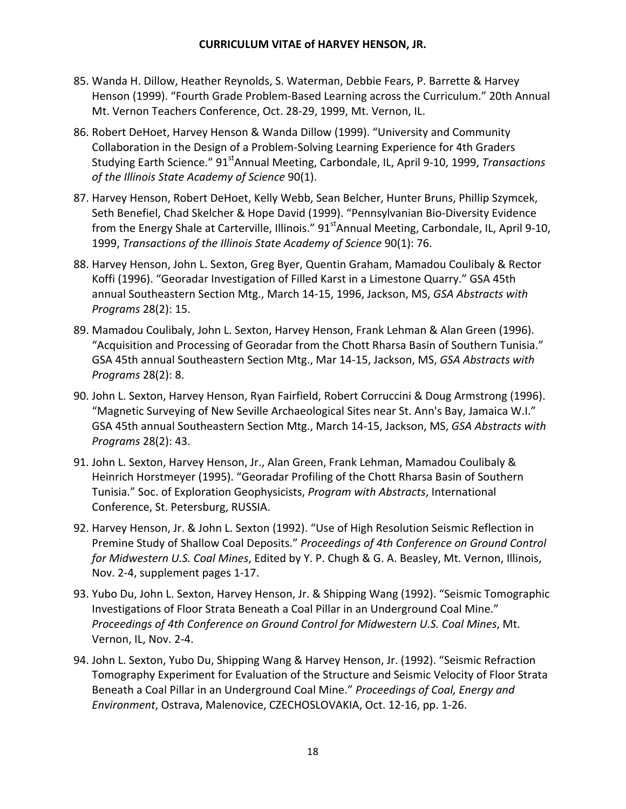- 85. Wanda H. Dillow, Heather Reynolds, S. Waterman, Debbie Fears, P. Barrette & Harvey Henson (1999). "Fourth Grade Problem‐Based Learning across the Curriculum." 20th Annual Mt. Vernon Teachers Conference, Oct. 28‐29, 1999, Mt. Vernon, IL.
- 86. Robert DeHoet, Harvey Henson & Wanda Dillow (1999). "University and Community Collaboration in the Design of a Problem‐Solving Learning Experience for 4th Graders Studying Earth Science." 91<sup>st</sup>Annual Meeting, Carbondale, IL, April 9-10, 1999, *Transactions of the Illinois State Academy of Science* 90(1).
- 87. Harvey Henson, Robert DeHoet, Kelly Webb, Sean Belcher, Hunter Bruns, Phillip Szymcek, Seth Benefiel, Chad Skelcher & Hope David (1999). "Pennsylvanian Bio‐Diversity Evidence from the Energy Shale at Carterville, Illinois." 91<sup>st</sup>Annual Meeting, Carbondale, IL, April 9-10, 1999, *Transactions of the Illinois State Academy of Science* 90(1): 76.
- 88. Harvey Henson, John L. Sexton, Greg Byer, Quentin Graham, Mamadou Coulibaly & Rector Koffi (1996). "Georadar Investigation of Filled Karst in a Limestone Quarry." GSA 45th annual Southeastern Section Mtg., March 14‐15, 1996, Jackson, MS, *GSA Abstracts with Programs* 28(2): 15.
- 89. Mamadou Coulibaly, John L. Sexton, Harvey Henson, Frank Lehman & Alan Green (1996). "Acquisition and Processing of Georadar from the Chott Rharsa Basin of Southern Tunisia." GSA 45th annual Southeastern Section Mtg., Mar 14‐15, Jackson, MS, *GSA Abstracts with Programs* 28(2): 8.
- 90. John L. Sexton, Harvey Henson, Ryan Fairfield, Robert Corruccini & Doug Armstrong (1996). "Magnetic Surveying of New Seville Archaeological Sites near St. Ann's Bay, Jamaica W.I." GSA 45th annual Southeastern Section Mtg., March 14‐15, Jackson, MS, *GSA Abstracts with Programs* 28(2): 43.
- 91. John L. Sexton, Harvey Henson, Jr., Alan Green, Frank Lehman, Mamadou Coulibaly & Heinrich Horstmeyer (1995). "Georadar Profiling of the Chott Rharsa Basin of Southern Tunisia." Soc. of Exploration Geophysicists, *Program with Abstracts*, International Conference, St. Petersburg, RUSSIA.
- 92. Harvey Henson, Jr. & John L. Sexton (1992). "Use of High Resolution Seismic Reflection in Premine Study of Shallow Coal Deposits." *Proceedings of 4th Conference on Ground Control for Midwestern U.S. Coal Mines*, Edited by Y. P. Chugh & G. A. Beasley, Mt. Vernon, Illinois, Nov. 2‐4, supplement pages 1‐17.
- 93. Yubo Du, John L. Sexton, Harvey Henson, Jr. & Shipping Wang (1992). "Seismic Tomographic Investigations of Floor Strata Beneath a Coal Pillar in an Underground Coal Mine." *Proceedings of 4th Conference on Ground Control for Midwestern U.S. Coal Mines*, Mt. Vernon, IL, Nov. 2‐4.
- 94. John L. Sexton, Yubo Du, Shipping Wang & Harvey Henson, Jr. (1992). "Seismic Refraction Tomography Experiment for Evaluation of the Structure and Seismic Velocity of Floor Strata Beneath a Coal Pillar in an Underground Coal Mine." *Proceedings of Coal, Energy and Environment*, Ostrava, Malenovice, CZECHOSLOVAKIA, Oct. 12‐16, pp. 1‐26.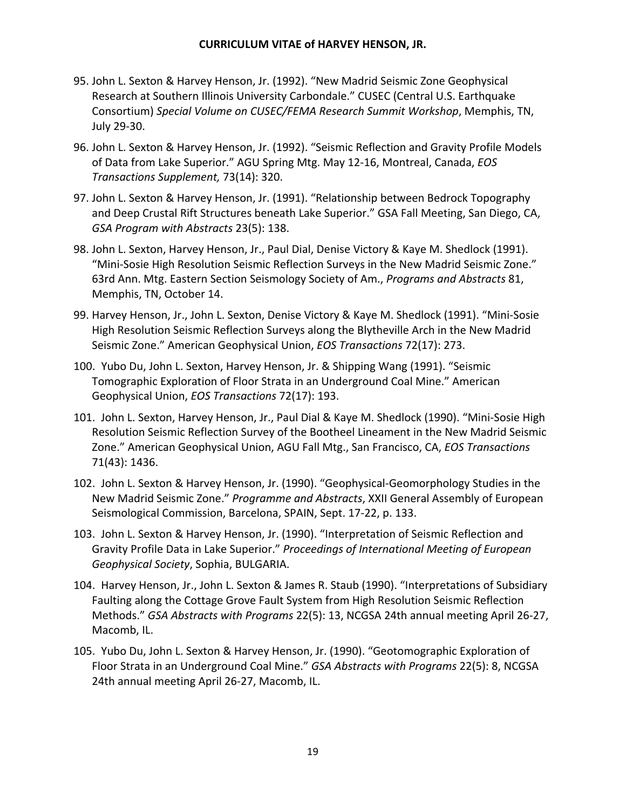- 95. John L. Sexton & Harvey Henson, Jr. (1992). "New Madrid Seismic Zone Geophysical Research at Southern Illinois University Carbondale." CUSEC (Central U.S. Earthquake Consortium) *Special Volume on CUSEC/FEMA Research Summit Workshop*, Memphis, TN, July 29‐30.
- 96. John L. Sexton & Harvey Henson, Jr. (1992). "Seismic Reflection and Gravity Profile Models of Data from Lake Superior." AGU Spring Mtg. May 12‐16, Montreal, Canada, *EOS Transactions Supplement,* 73(14): 320.
- 97. John L. Sexton & Harvey Henson, Jr. (1991). "Relationship between Bedrock Topography and Deep Crustal Rift Structures beneath Lake Superior." GSA Fall Meeting, San Diego, CA, *GSA Program with Abstracts* 23(5): 138.
- 98. John L. Sexton, Harvey Henson, Jr., Paul Dial, Denise Victory & Kaye M. Shedlock (1991). "Mini‐Sosie High Resolution Seismic Reflection Surveys in the New Madrid Seismic Zone." 63rd Ann. Mtg. Eastern Section Seismology Society of Am., *Programs and Abstracts* 81, Memphis, TN, October 14.
- 99. Harvey Henson, Jr., John L. Sexton, Denise Victory & Kaye M. Shedlock (1991). "Mini‐Sosie High Resolution Seismic Reflection Surveys along the Blytheville Arch in the New Madrid Seismic Zone." American Geophysical Union, *EOS Transactions* 72(17): 273.
- 100. Yubo Du, John L. Sexton, Harvey Henson, Jr. & Shipping Wang (1991). "Seismic Tomographic Exploration of Floor Strata in an Underground Coal Mine." American Geophysical Union, *EOS Transactions* 72(17): 193.
- 101. John L. Sexton, Harvey Henson, Jr., Paul Dial & Kaye M. Shedlock (1990). "Mini‐Sosie High Resolution Seismic Reflection Survey of the Bootheel Lineament in the New Madrid Seismic Zone." American Geophysical Union, AGU Fall Mtg., San Francisco, CA, *EOS Transactions* 71(43): 1436.
- 102. John L. Sexton & Harvey Henson, Jr. (1990). "Geophysical‐Geomorphology Studies in the New Madrid Seismic Zone." *Programme and Abstracts*, XXII General Assembly of European Seismological Commission, Barcelona, SPAIN, Sept. 17‐22, p. 133.
- 103. John L. Sexton & Harvey Henson, Jr. (1990). "Interpretation of Seismic Reflection and Gravity Profile Data in Lake Superior." *Proceedings of International Meeting of European Geophysical Society*, Sophia, BULGARIA.
- 104. Harvey Henson, Jr., John L. Sexton & James R. Staub (1990). "Interpretations of Subsidiary Faulting along the Cottage Grove Fault System from High Resolution Seismic Reflection Methods." *GSA Abstracts with Programs* 22(5): 13, NCGSA 24th annual meeting April 26‐27, Macomb, IL.
- 105. Yubo Du, John L. Sexton & Harvey Henson, Jr. (1990). "Geotomographic Exploration of Floor Strata in an Underground Coal Mine." *GSA Abstracts with Programs* 22(5): 8, NCGSA 24th annual meeting April 26‐27, Macomb, IL.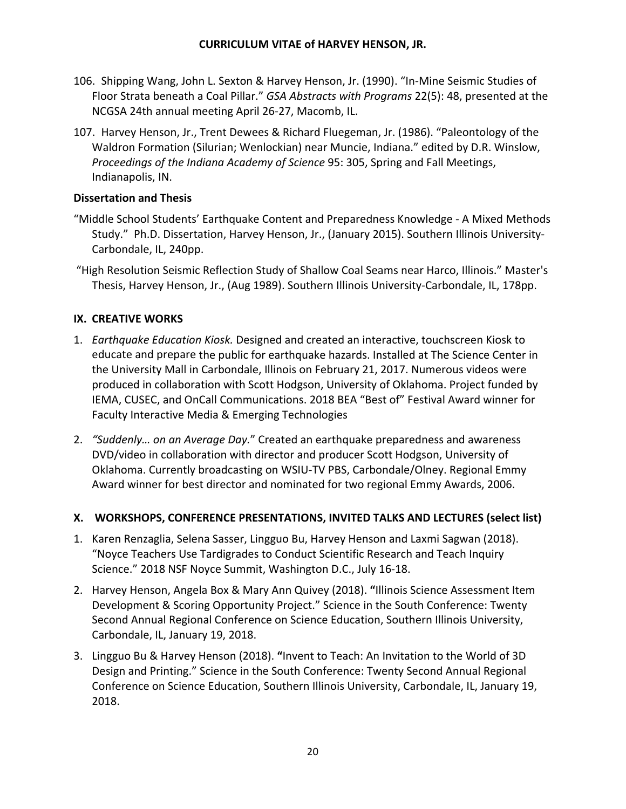- 106. Shipping Wang, John L. Sexton & Harvey Henson, Jr. (1990). "In‐Mine Seismic Studies of Floor Strata beneath a Coal Pillar." *GSA Abstracts with Programs* 22(5): 48, presented at the NCGSA 24th annual meeting April 26‐27, Macomb, IL.
- 107. Harvey Henson, Jr., Trent Dewees & Richard Fluegeman, Jr. (1986). "Paleontology of the Waldron Formation (Silurian; Wenlockian) near Muncie, Indiana." edited by D.R. Winslow, *Proceedings of the Indiana Academy of Science* 95: 305, Spring and Fall Meetings, Indianapolis, IN.

## **Dissertation and Thesis**

- "Middle School Students' Earthquake Content and Preparedness Knowledge ‐ A Mixed Methods Study." Ph.D. Dissertation, Harvey Henson, Jr., (January 2015). Southern Illinois University‐ Carbondale, IL, 240pp.
- "High Resolution Seismic Reflection Study of Shallow Coal Seams near Harco, Illinois." Master's Thesis, Harvey Henson, Jr., (Aug 1989). Southern Illinois University‐Carbondale, IL, 178pp.

# **IX. CREATIVE WORKS**

- 1. *Earthquake Education Kiosk.* Designed and created an interactive, touchscreen Kiosk to educate and prepare the public for earthquake hazards. Installed at The Science Center in the University Mall in Carbondale, Illinois on February 21, 2017. Numerous videos were produced in collaboration with Scott Hodgson, University of Oklahoma. Project funded by IEMA, CUSEC, and OnCall Communications. 2018 BEA "Best of" Festival Award winner for Faculty Interactive Media & Emerging Technologies
- 2. *"Suddenly… on an Average Day.*" Created an earthquake preparedness and awareness DVD/video in collaboration with director and producer Scott Hodgson, University of Oklahoma. Currently broadcasting on WSIU‐TV PBS, Carbondale/Olney. Regional Emmy Award winner for best director and nominated for two regional Emmy Awards, 2006.

## **X. WORKSHOPS, CONFERENCE PRESENTATIONS, INVITED TALKS AND LECTURES (select list)**

- 1. Karen Renzaglia, Selena Sasser, Lingguo Bu, Harvey Henson and Laxmi Sagwan (2018). "Noyce Teachers Use Tardigrades to Conduct Scientific Research and Teach Inquiry Science." 2018 NSF Noyce Summit, Washington D.C., July 16‐18.
- 2. Harvey Henson, Angela Box & Mary Ann Quivey (2018). **"**Illinois Science Assessment Item Development & Scoring Opportunity Project." Science in the South Conference: Twenty Second Annual Regional Conference on Science Education, Southern Illinois University, Carbondale, IL, January 19, 2018.
- 3. Lingguo Bu & Harvey Henson (2018). **"**Invent to Teach: An Invitation to the World of 3D Design and Printing." Science in the South Conference: Twenty Second Annual Regional Conference on Science Education, Southern Illinois University, Carbondale, IL, January 19, 2018.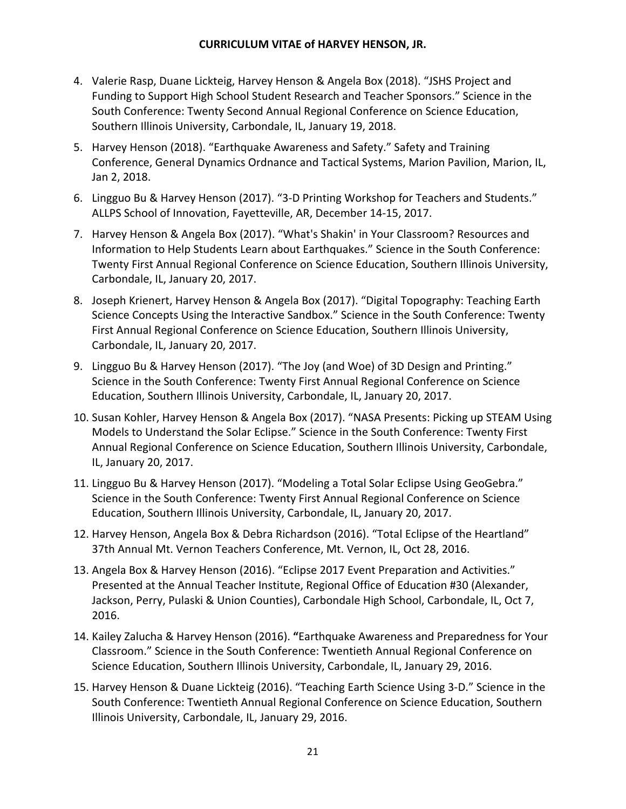- 4. Valerie Rasp, Duane Lickteig, Harvey Henson & Angela Box (2018). "JSHS Project and Funding to Support High School Student Research and Teacher Sponsors." Science in the South Conference: Twenty Second Annual Regional Conference on Science Education, Southern Illinois University, Carbondale, IL, January 19, 2018.
- 5. Harvey Henson (2018). "Earthquake Awareness and Safety." Safety and Training Conference, General Dynamics Ordnance and Tactical Systems, Marion Pavilion, Marion, IL, Jan 2, 2018.
- 6. Lingguo Bu & Harvey Henson (2017). "3‐D Printing Workshop for Teachers and Students." ALLPS School of Innovation, Fayetteville, AR, December 14‐15, 2017.
- 7. Harvey Henson & Angela Box (2017). "What's Shakin' in Your Classroom? Resources and Information to Help Students Learn about Earthquakes." Science in the South Conference: Twenty First Annual Regional Conference on Science Education, Southern Illinois University, Carbondale, IL, January 20, 2017.
- 8. Joseph Krienert, Harvey Henson & Angela Box (2017). "Digital Topography: Teaching Earth Science Concepts Using the Interactive Sandbox." Science in the South Conference: Twenty First Annual Regional Conference on Science Education, Southern Illinois University, Carbondale, IL, January 20, 2017.
- 9. Lingguo Bu & Harvey Henson (2017). "The Joy (and Woe) of 3D Design and Printing." Science in the South Conference: Twenty First Annual Regional Conference on Science Education, Southern Illinois University, Carbondale, IL, January 20, 2017.
- 10. Susan Kohler, Harvey Henson & Angela Box (2017). "NASA Presents: Picking up STEAM Using Models to Understand the Solar Eclipse." Science in the South Conference: Twenty First Annual Regional Conference on Science Education, Southern Illinois University, Carbondale, IL, January 20, 2017.
- 11. Lingguo Bu & Harvey Henson (2017). "Modeling a Total Solar Eclipse Using GeoGebra." Science in the South Conference: Twenty First Annual Regional Conference on Science Education, Southern Illinois University, Carbondale, IL, January 20, 2017.
- 12. Harvey Henson, Angela Box & Debra Richardson (2016). "Total Eclipse of the Heartland" 37th Annual Mt. Vernon Teachers Conference, Mt. Vernon, IL, Oct 28, 2016.
- 13. Angela Box & Harvey Henson (2016). "Eclipse 2017 Event Preparation and Activities." Presented at the Annual Teacher Institute, Regional Office of Education #30 (Alexander, Jackson, Perry, Pulaski & Union Counties), Carbondale High School, Carbondale, IL, Oct 7, 2016.
- 14. Kailey Zalucha & Harvey Henson (2016). **"**Earthquake Awareness and Preparedness for Your Classroom." Science in the South Conference: Twentieth Annual Regional Conference on Science Education, Southern Illinois University, Carbondale, IL, January 29, 2016.
- 15. Harvey Henson & Duane Lickteig (2016). "Teaching Earth Science Using 3‐D." Science in the South Conference: Twentieth Annual Regional Conference on Science Education, Southern Illinois University, Carbondale, IL, January 29, 2016.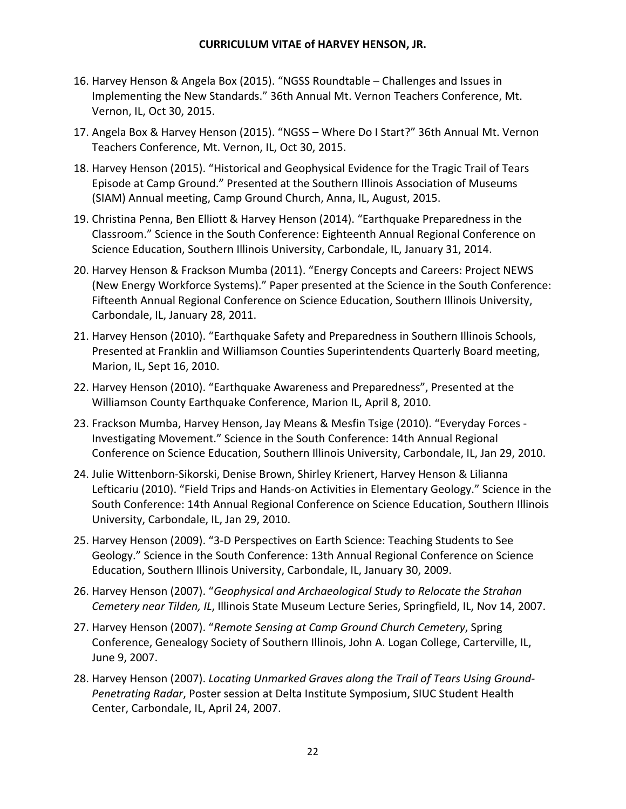- 16. Harvey Henson & Angela Box (2015). "NGSS Roundtable Challenges and Issues in Implementing the New Standards." 36th Annual Mt. Vernon Teachers Conference, Mt. Vernon, IL, Oct 30, 2015.
- 17. Angela Box & Harvey Henson (2015). "NGSS Where Do I Start?" 36th Annual Mt. Vernon Teachers Conference, Mt. Vernon, IL, Oct 30, 2015.
- 18. Harvey Henson (2015). "Historical and Geophysical Evidence for the Tragic Trail of Tears Episode at Camp Ground." Presented at the Southern Illinois Association of Museums (SIAM) Annual meeting, Camp Ground Church, Anna, IL, August, 2015.
- 19. Christina Penna, Ben Elliott & Harvey Henson (2014). "Earthquake Preparedness in the Classroom." Science in the South Conference: Eighteenth Annual Regional Conference on Science Education, Southern Illinois University, Carbondale, IL, January 31, 2014.
- 20. Harvey Henson & Frackson Mumba (2011). "Energy Concepts and Careers: Project NEWS (New Energy Workforce Systems)." Paper presented at the Science in the South Conference: Fifteenth Annual Regional Conference on Science Education, Southern Illinois University, Carbondale, IL, January 28, 2011.
- 21. Harvey Henson (2010). "Earthquake Safety and Preparedness in Southern Illinois Schools, Presented at Franklin and Williamson Counties Superintendents Quarterly Board meeting, Marion, IL, Sept 16, 2010.
- 22. Harvey Henson (2010). "Earthquake Awareness and Preparedness", Presented at the Williamson County Earthquake Conference, Marion IL, April 8, 2010.
- 23. Frackson Mumba, Harvey Henson, Jay Means & Mesfin Tsige (2010). "Everyday Forces ‐ Investigating Movement." Science in the South Conference: 14th Annual Regional Conference on Science Education, Southern Illinois University, Carbondale, IL, Jan 29, 2010.
- 24. Julie Wittenborn‐Sikorski, Denise Brown, Shirley Krienert, Harvey Henson & Lilianna Lefticariu (2010). "Field Trips and Hands‐on Activities in Elementary Geology." Science in the South Conference: 14th Annual Regional Conference on Science Education, Southern Illinois University, Carbondale, IL, Jan 29, 2010.
- 25. Harvey Henson (2009). "3‐D Perspectives on Earth Science: Teaching Students to See Geology." Science in the South Conference: 13th Annual Regional Conference on Science Education, Southern Illinois University, Carbondale, IL, January 30, 2009.
- 26. Harvey Henson (2007). "*Geophysical and Archaeological Study to Relocate the Strahan Cemetery near Tilden, IL*, Illinois State Museum Lecture Series, Springfield, IL, Nov 14, 2007.
- 27. Harvey Henson (2007). "*Remote Sensing at Camp Ground Church Cemetery*, Spring Conference, Genealogy Society of Southern Illinois, John A. Logan College, Carterville, IL, June 9, 2007.
- 28. Harvey Henson (2007). *Locating Unmarked Graves along the Trail of Tears Using Ground‐ Penetrating Radar*, Poster session at Delta Institute Symposium, SIUC Student Health Center, Carbondale, IL, April 24, 2007.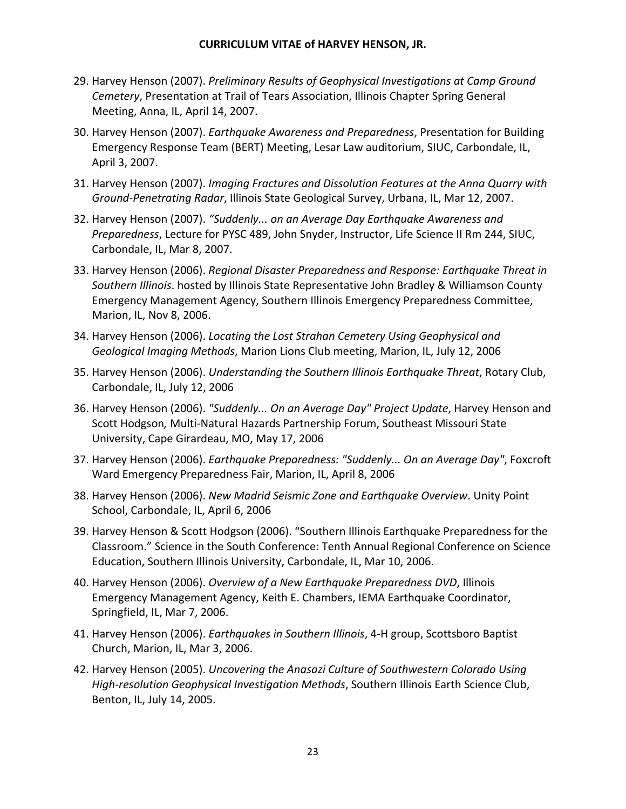- 29. Harvey Henson (2007). *Preliminary Results of Geophysical Investigations at Camp Ground Cemetery*, Presentation at Trail of Tears Association, Illinois Chapter Spring General Meeting, Anna, IL, April 14, 2007.
- 30. Harvey Henson (2007). *Earthquake Awareness and Preparedness*, Presentation for Building Emergency Response Team (BERT) Meeting, Lesar Law auditorium, SIUC, Carbondale, IL, April 3, 2007.
- 31. Harvey Henson (2007). *Imaging Fractures and Dissolution Features at the Anna Quarry with Ground‐Penetrating Radar*, Illinois State Geological Survey, Urbana, IL, Mar 12, 2007.
- 32. Harvey Henson (2007). *"Suddenly... on an Average Day Earthquake Awareness and Preparedness*, Lecture for PYSC 489, John Snyder, Instructor, Life Science II Rm 244, SIUC, Carbondale, IL, Mar 8, 2007.
- 33. Harvey Henson (2006). *Regional Disaster Preparedness and Response: Earthquake Threat in Southern Illinois*. hosted by Illinois State Representative John Bradley & Williamson County Emergency Management Agency, Southern Illinois Emergency Preparedness Committee, Marion, IL, Nov 8, 2006.
- 34. Harvey Henson (2006). *Locating the Lost Strahan Cemetery Using Geophysical and Geological Imaging Methods*, Marion Lions Club meeting, Marion, IL, July 12, 2006
- 35. Harvey Henson (2006). *Understanding the Southern Illinois Earthquake Threat*, Rotary Club, Carbondale, IL, July 12, 2006
- 36. Harvey Henson (2006). *"Suddenly... On an Average Day" Project Update*, Harvey Henson and Scott Hodgson*,* Multi‐Natural Hazards Partnership Forum, Southeast Missouri State University, Cape Girardeau, MO, May 17, 2006
- 37. Harvey Henson (2006). *Earthquake Preparedness: "Suddenly... On an Average Day"*, Foxcroft Ward Emergency Preparedness Fair, Marion, IL, April 8, 2006
- 38. Harvey Henson (2006). *New Madrid Seismic Zone and Earthquake Overview*. Unity Point School, Carbondale, IL, April 6, 2006
- 39. Harvey Henson & Scott Hodgson (2006). "Southern Illinois Earthquake Preparedness for the Classroom." Science in the South Conference: Tenth Annual Regional Conference on Science Education, Southern Illinois University, Carbondale, IL, Mar 10, 2006.
- 40. Harvey Henson (2006). *Overview of a New Earthquake Preparedness DVD*, Illinois Emergency Management Agency, Keith E. Chambers, IEMA Earthquake Coordinator, Springfield, IL, Mar 7, 2006.
- 41. Harvey Henson (2006). *Earthquakes in Southern Illinois*, 4‐H group, Scottsboro Baptist Church, Marion, IL, Mar 3, 2006.
- 42. Harvey Henson (2005). *Uncovering the Anasazi Culture of Southwestern Colorado Using High‐resolution Geophysical Investigation Methods*, Southern Illinois Earth Science Club, Benton, IL, July 14, 2005.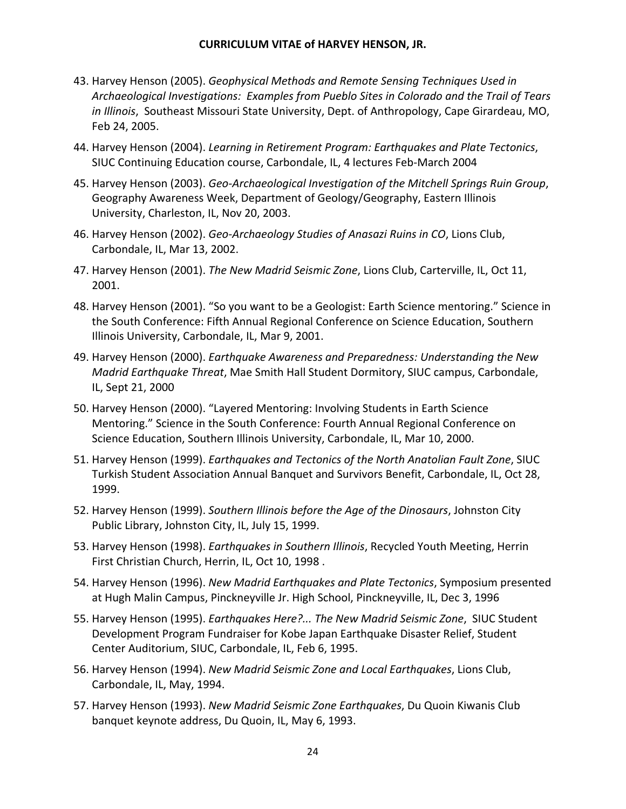- 43. Harvey Henson (2005). *Geophysical Methods and Remote Sensing Techniques Used in Archaeological Investigations: Examples from Pueblo Sites in Colorado and the Trail of Tears in Illinois*, Southeast Missouri State University, Dept. of Anthropology, Cape Girardeau, MO, Feb 24, 2005.
- 44. Harvey Henson (2004). *Learning in Retirement Program: Earthquakes and Plate Tectonics*, SIUC Continuing Education course, Carbondale, IL, 4 lectures Feb‐March 2004
- 45. Harvey Henson (2003). *Geo‐Archaeological Investigation of the Mitchell Springs Ruin Group*, Geography Awareness Week, Department of Geology/Geography, Eastern Illinois University, Charleston, IL, Nov 20, 2003.
- 46. Harvey Henson (2002). *Geo‐Archaeology Studies of Anasazi Ruins in CO*, Lions Club, Carbondale, IL, Mar 13, 2002.
- 47. Harvey Henson (2001). *The New Madrid Seismic Zone*, Lions Club, Carterville, IL, Oct 11, 2001.
- 48. Harvey Henson (2001). "So you want to be a Geologist: Earth Science mentoring." Science in the South Conference: Fifth Annual Regional Conference on Science Education, Southern Illinois University, Carbondale, IL, Mar 9, 2001.
- 49. Harvey Henson (2000). *Earthquake Awareness and Preparedness: Understanding the New Madrid Earthquake Threat*, Mae Smith Hall Student Dormitory, SIUC campus, Carbondale, IL, Sept 21, 2000
- 50. Harvey Henson (2000). "Layered Mentoring: Involving Students in Earth Science Mentoring." Science in the South Conference: Fourth Annual Regional Conference on Science Education, Southern Illinois University, Carbondale, IL, Mar 10, 2000.
- 51. Harvey Henson (1999). *Earthquakes and Tectonics of the North Anatolian Fault Zone*, SIUC Turkish Student Association Annual Banquet and Survivors Benefit, Carbondale, IL, Oct 28, 1999.
- 52. Harvey Henson (1999). *Southern Illinois before the Age of the Dinosaurs*, Johnston City Public Library, Johnston City, IL, July 15, 1999.
- 53. Harvey Henson (1998). *Earthquakes in Southern Illinois*, Recycled Youth Meeting, Herrin First Christian Church, Herrin, IL, Oct 10, 1998 .
- 54. Harvey Henson (1996). *New Madrid Earthquakes and Plate Tectonics*, Symposium presented at Hugh Malin Campus, Pinckneyville Jr. High School, Pinckneyville, IL, Dec 3, 1996
- 55. Harvey Henson (1995). *Earthquakes Here?... The New Madrid Seismic Zone*, SIUC Student Development Program Fundraiser for Kobe Japan Earthquake Disaster Relief, Student Center Auditorium, SIUC, Carbondale, IL, Feb 6, 1995.
- 56. Harvey Henson (1994). *New Madrid Seismic Zone and Local Earthquakes*, Lions Club, Carbondale, IL, May, 1994.
- 57. Harvey Henson (1993). *New Madrid Seismic Zone Earthquakes*, Du Quoin Kiwanis Club banquet keynote address, Du Quoin, IL, May 6, 1993.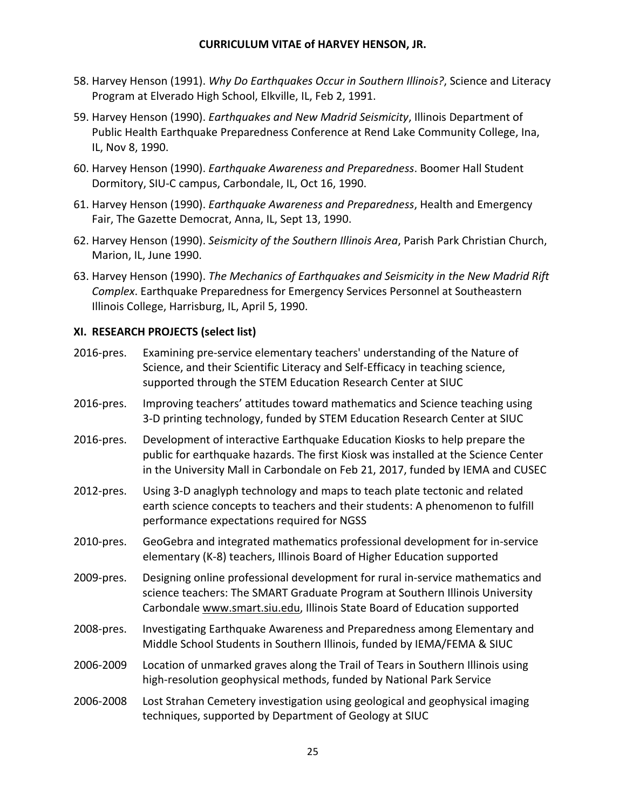- 58. Harvey Henson (1991). *Why Do Earthquakes Occur in Southern Illinois?*, Science and Literacy Program at Elverado High School, Elkville, IL, Feb 2, 1991.
- 59. Harvey Henson (1990). *Earthquakes and New Madrid Seismicity*, Illinois Department of Public Health Earthquake Preparedness Conference at Rend Lake Community College, Ina, IL, Nov 8, 1990.
- 60. Harvey Henson (1990). *Earthquake Awareness and Preparedness*. Boomer Hall Student Dormitory, SIU‐C campus, Carbondale, IL, Oct 16, 1990.
- 61. Harvey Henson (1990). *Earthquake Awareness and Preparedness*, Health and Emergency Fair, The Gazette Democrat, Anna, IL, Sept 13, 1990.
- 62. Harvey Henson (1990). *Seismicity of the Southern Illinois Area*, Parish Park Christian Church, Marion, IL, June 1990.
- 63. Harvey Henson (1990). *The Mechanics of Earthquakes and Seismicity in the New Madrid Rift Complex*. Earthquake Preparedness for Emergency Services Personnel at Southeastern Illinois College, Harrisburg, IL, April 5, 1990.

## **XI. RESEARCH PROJECTS (select list)**

- 2016‐pres. Examining pre‐service elementary teachers' understanding of the Nature of Science, and their Scientific Literacy and Self‐Efficacy in teaching science, supported through the STEM Education Research Center at SIUC
- 2016‐pres. Improving teachers' attitudes toward mathematics and Science teaching using 3‐D printing technology, funded by STEM Education Research Center at SIUC
- 2016‐pres. Development of interactive Earthquake Education Kiosks to help prepare the public for earthquake hazards. The first Kiosk was installed at the Science Center in the University Mall in Carbondale on Feb 21, 2017, funded by IEMA and CUSEC
- 2012‐pres. Using 3‐D anaglyph technology and maps to teach plate tectonic and related earth science concepts to teachers and their students: A phenomenon to fulfill performance expectations required for NGSS
- 2010‐pres. GeoGebra and integrated mathematics professional development for in‐service elementary (K‐8) teachers, Illinois Board of Higher Education supported
- 2009‐pres. Designing online professional development for rural in‐service mathematics and science teachers: The SMART Graduate Program at Southern Illinois University Carbondale www.smart.siu.edu, Illinois State Board of Education supported
- 2008‐pres. Investigating Earthquake Awareness and Preparedness among Elementary and Middle School Students in Southern Illinois, funded by IEMA/FEMA & SIUC
- 2006‐2009 Location of unmarked graves along the Trail of Tears in Southern Illinois using high-resolution geophysical methods, funded by National Park Service
- 2006‐2008 Lost Strahan Cemetery investigation using geological and geophysical imaging techniques, supported by Department of Geology at SIUC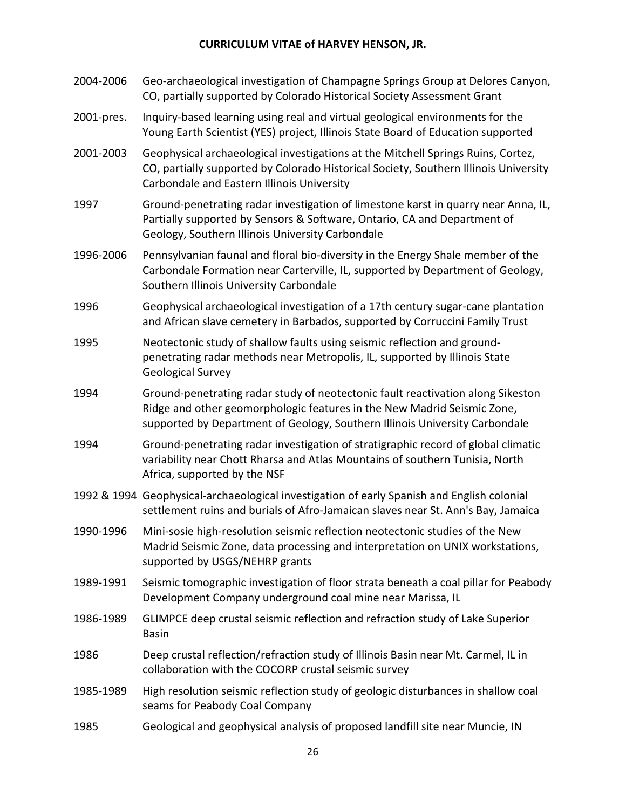| 2004-2006  | Geo-archaeological investigation of Champagne Springs Group at Delores Canyon,<br>CO, partially supported by Colorado Historical Society Assessment Grant                                                                                 |
|------------|-------------------------------------------------------------------------------------------------------------------------------------------------------------------------------------------------------------------------------------------|
| 2001-pres. | Inquiry-based learning using real and virtual geological environments for the<br>Young Earth Scientist (YES) project, Illinois State Board of Education supported                                                                         |
| 2001-2003  | Geophysical archaeological investigations at the Mitchell Springs Ruins, Cortez,<br>CO, partially supported by Colorado Historical Society, Southern Illinois University<br>Carbondale and Eastern Illinois University                    |
| 1997       | Ground-penetrating radar investigation of limestone karst in quarry near Anna, IL,<br>Partially supported by Sensors & Software, Ontario, CA and Department of<br>Geology, Southern Illinois University Carbondale                        |
| 1996-2006  | Pennsylvanian faunal and floral bio-diversity in the Energy Shale member of the<br>Carbondale Formation near Carterville, IL, supported by Department of Geology,<br>Southern Illinois University Carbondale                              |
| 1996       | Geophysical archaeological investigation of a 17th century sugar-cane plantation<br>and African slave cemetery in Barbados, supported by Corruccini Family Trust                                                                          |
| 1995       | Neotectonic study of shallow faults using seismic reflection and ground-<br>penetrating radar methods near Metropolis, IL, supported by Illinois State<br><b>Geological Survey</b>                                                        |
| 1994       | Ground-penetrating radar study of neotectonic fault reactivation along Sikeston<br>Ridge and other geomorphologic features in the New Madrid Seismic Zone,<br>supported by Department of Geology, Southern Illinois University Carbondale |
| 1994       | Ground-penetrating radar investigation of stratigraphic record of global climatic<br>variability near Chott Rharsa and Atlas Mountains of southern Tunisia, North<br>Africa, supported by the NSF                                         |
|            | 1992 & 1994 Geophysical-archaeological investigation of early Spanish and English colonial<br>settlement ruins and burials of Afro-Jamaican slaves near St. Ann's Bay, Jamaica                                                            |
| 1990-1996  | Mini-sosie high-resolution seismic reflection neotectonic studies of the New<br>Madrid Seismic Zone, data processing and interpretation on UNIX workstations,<br>supported by USGS/NEHRP grants                                           |
| 1989-1991  | Seismic tomographic investigation of floor strata beneath a coal pillar for Peabody<br>Development Company underground coal mine near Marissa, IL                                                                                         |
| 1986-1989  | GLIMPCE deep crustal seismic reflection and refraction study of Lake Superior<br><b>Basin</b>                                                                                                                                             |
| 1986       | Deep crustal reflection/refraction study of Illinois Basin near Mt. Carmel, IL in<br>collaboration with the COCORP crustal seismic survey                                                                                                 |
| 1985-1989  | High resolution seismic reflection study of geologic disturbances in shallow coal<br>seams for Peabody Coal Company                                                                                                                       |
| 1985       | Geological and geophysical analysis of proposed landfill site near Muncie, IN                                                                                                                                                             |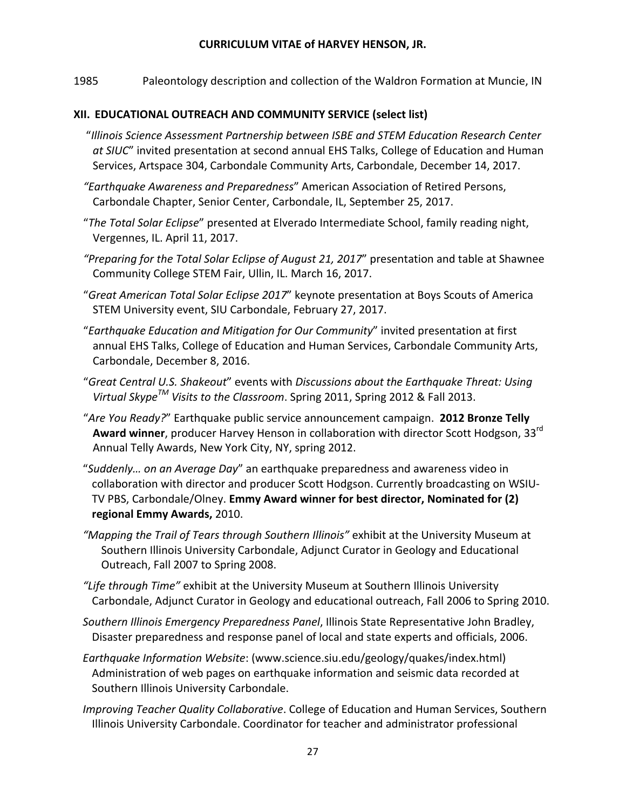1985 Paleontology description and collection of the Waldron Formation at Muncie, IN

#### **XII. EDUCATIONAL OUTREACH AND COMMUNITY SERVICE (select list)**

- "*Illinois Science Assessment Partnership between ISBE and STEM Education Research Center at SIUC*" invited presentation at second annual EHS Talks, College of Education and Human Services, Artspace 304, Carbondale Community Arts, Carbondale, December 14, 2017.
- *"Earthquake Awareness and Preparedness*" American Association of Retired Persons, Carbondale Chapter, Senior Center, Carbondale, IL, September 25, 2017.
- "*The Total Solar Eclipse*" presented at Elverado Intermediate School, family reading night, Vergennes, IL. April 11, 2017.
- *"Preparing for the Total Solar Eclipse of August 21, 2017*" presentation and table at Shawnee Community College STEM Fair, Ullin, IL. March 16, 2017.
- "*Great American Total Solar Eclipse 2017*" keynote presentation at Boys Scouts of America STEM University event, SIU Carbondale, February 27, 2017.
- "*Earthquake Education and Mitigation for Our Community*" invited presentation at first annual EHS Talks, College of Education and Human Services, Carbondale Community Arts, Carbondale, December 8, 2016.
- "*Great Central U.S. Shakeout*" events with *Discussions about the Earthquake Threat: Using Virtual SkypeTM Visits to the Classroom*. Spring 2011, Spring 2012 & Fall 2013.
- "*Are You Ready?*" Earthquake public service announcement campaign. **2012 Bronze Telly Award winner**, producer Harvey Henson in collaboration with director Scott Hodgson, 33rd Annual Telly Awards, New York City, NY, spring 2012.
- "*Suddenly… on an Average Day*" an earthquake preparedness and awareness video in collaboration with director and producer Scott Hodgson. Currently broadcasting on WSIU‐ TV PBS, Carbondale/Olney. **Emmy Award winner for best director, Nominated for (2) regional Emmy Awards,** 2010.
- *"Mapping the Trail of Tears through Southern Illinois"* exhibit at the University Museum at Southern Illinois University Carbondale, Adjunct Curator in Geology and Educational Outreach, Fall 2007 to Spring 2008.
- *"Life through Time"* exhibit at the University Museum at Southern Illinois University Carbondale, Adjunct Curator in Geology and educational outreach, Fall 2006 to Spring 2010.
- *Southern Illinois Emergency Preparedness Panel*, Illinois State Representative John Bradley, Disaster preparedness and response panel of local and state experts and officials, 2006.
- *Earthquake Information Website*: (www.science.siu.edu/geology/quakes/index.html) Administration of web pages on earthquake information and seismic data recorded at Southern Illinois University Carbondale.
- *Improving Teacher Quality Collaborative*. College of Education and Human Services, Southern Illinois University Carbondale. Coordinator for teacher and administrator professional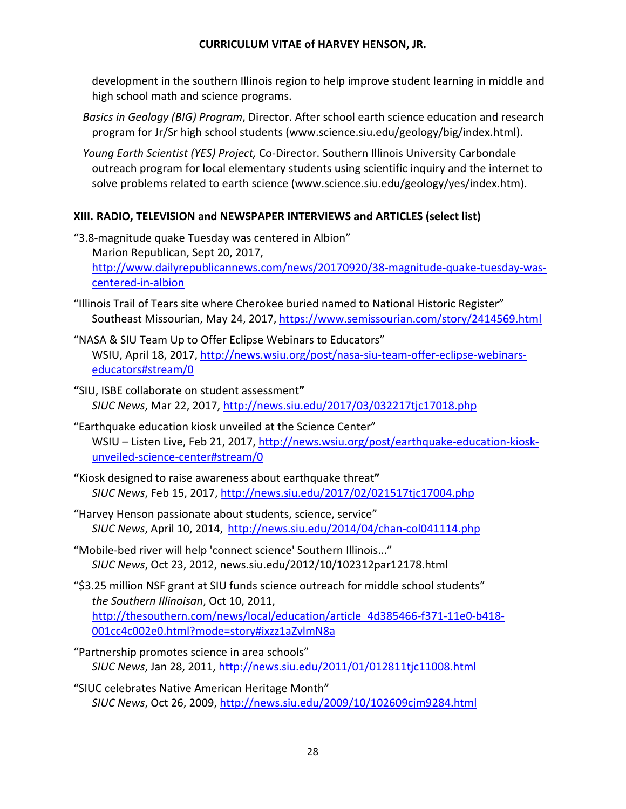development in the southern Illinois region to help improve student learning in middle and high school math and science programs.

- *Basics in Geology (BIG) Program*, Director. After school earth science education and research program for Jr/Sr high school students (www.science.siu.edu/geology/big/index.html).
- *Young Earth Scientist (YES) Project,* Co‐Director. Southern Illinois University Carbondale outreach program for local elementary students using scientific inquiry and the internet to solve problems related to earth science (www.science.siu.edu/geology/yes/index.htm).

## **XIII. RADIO, TELEVISION and NEWSPAPER INTERVIEWS and ARTICLES (select list)**

```
"3.8‐magnitude quake Tuesday was centered in Albion"
Marion Republican, Sept 20, 2017,
http://www.dailyrepublicannews.com/news/20170920/38‐magnitude‐quake‐tuesday‐was‐
centered‐in‐albion
```
- "Illinois Trail of Tears site where Cherokee buried named to National Historic Register" Southeast Missourian, May 24, 2017, https://www.semissourian.com/story/2414569.html
- "NASA & SIU Team Up to Offer Eclipse Webinars to Educators" WSIU, April 18, 2017, http://news.wsiu.org/post/nasa-siu-team-offer-eclipse-webinarseducators#stream/0
- **"**SIU, ISBE collaborate on student assessment**"** *SIUC News*, Mar 22, 2017, http://news.siu.edu/2017/03/032217tjc17018.php
- "Earthquake education kiosk unveiled at the Science Center" WSIU – Listen Live, Feb 21, 2017, http://news.wsiu.org/post/earthquake‐education‐kiosk‐ unveiled‐science‐center#stream/0
- **"**Kiosk designed to raise awareness about earthquake threat**"** *SIUC News*, Feb 15, 2017, http://news.siu.edu/2017/02/021517tjc17004.php
- "Harvey Henson passionate about students, science, service" *SIUC News*, April 10, 2014, http://news.siu.edu/2014/04/chan‐col041114.php
- "Mobile‐bed river will help 'connect science' Southern Illinois..." *SIUC News*, Oct 23, 2012, news.siu.edu/2012/10/102312par12178.html
- "\$3.25 million NSF grant at SIU funds science outreach for middle school students" *the Southern Illinoisan*, Oct 10, 2011, http://thesouthern.com/news/local/education/article\_4d385466-f371-11e0-b418-001cc4c002e0.html?mode=story#ixzz1aZvlmN8a
- "Partnership promotes science in area schools" *SIUC News*, Jan 28, 2011, http://news.siu.edu/2011/01/012811tjc11008.html
- "SIUC celebrates Native American Heritage Month" *SIUC News*, Oct 26, 2009, http://news.siu.edu/2009/10/102609cjm9284.html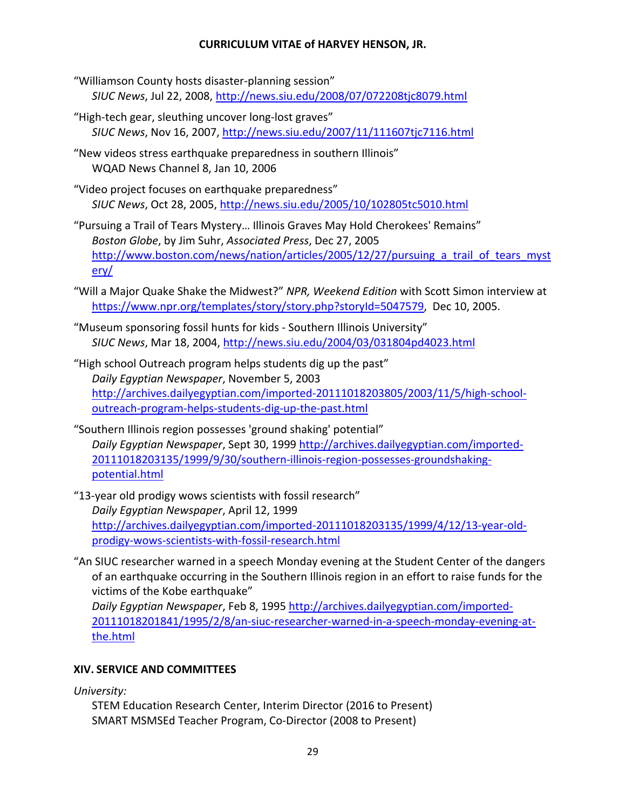"Williamson County hosts disaster‐planning session" *SIUC News*, Jul 22, 2008, http://news.siu.edu/2008/07/072208tjc8079.html

- "High‐tech gear, sleuthing uncover long‐lost graves" *SIUC News*, Nov 16, 2007, http://news.siu.edu/2007/11/111607tjc7116.html
- "New videos stress earthquake preparedness in southern Illinois" WQAD News Channel 8, Jan 10, 2006

"Video project focuses on earthquake preparedness" *SIUC News*, Oct 28, 2005, http://news.siu.edu/2005/10/102805tc5010.html

- "Pursuing a Trail of Tears Mystery… Illinois Graves May Hold Cherokees' Remains" *Boston Globe*, by Jim Suhr, *Associated Press*, Dec 27, 2005 http://www.boston.com/news/nation/articles/2005/12/27/pursuing a trail of tears myst ery/
- "Will a Major Quake Shake the Midwest?" *NPR, Weekend Edition* with Scott Simon interview at https://www.npr.org/templates/story/story.php?storyId=5047579, Dec 10, 2005.
- "Museum sponsoring fossil hunts for kids ‐ Southern Illinois University" *SIUC News*, Mar 18, 2004, http://news.siu.edu/2004/03/031804pd4023.html
- "High school Outreach program helps students dig up the past" *Daily Egyptian Newspaper*, November 5, 2003 http://archives.dailyegyptian.com/imported‐20111018203805/2003/11/5/high‐school‐ outreach‐program‐helps‐students‐dig‐up‐the‐past.html

"Southern Illinois region possesses 'ground shaking' potential" *Daily Egyptian Newspaper*, Sept 30, 1999 http://archives.dailyegyptian.com/imported‐ 20111018203135/1999/9/30/southern‐illinois‐region‐possesses‐groundshaking‐ potential.html

"13‐year old prodigy wows scientists with fossil research" *Daily Egyptian Newspaper*, April 12, 1999 http://archives.dailyegyptian.com/imported‐20111018203135/1999/4/12/13‐year‐old‐ prodigy‐wows‐scientists‐with‐fossil‐research.html

"An SIUC researcher warned in a speech Monday evening at the Student Center of the dangers of an earthquake occurring in the Southern Illinois region in an effort to raise funds for the victims of the Kobe earthquake" *Daily Egyptian Newspaper*, Feb 8, 1995 http://archives.dailyegyptian.com/imported‐ 20111018201841/1995/2/8/an‐siuc‐researcher‐warned‐in‐a‐speech‐monday‐evening‐at‐ the.html

## **XIV. SERVICE AND COMMITTEES**

*University:* 

STEM Education Research Center, Interim Director (2016 to Present) SMART MSMSEd Teacher Program, Co‐Director (2008 to Present)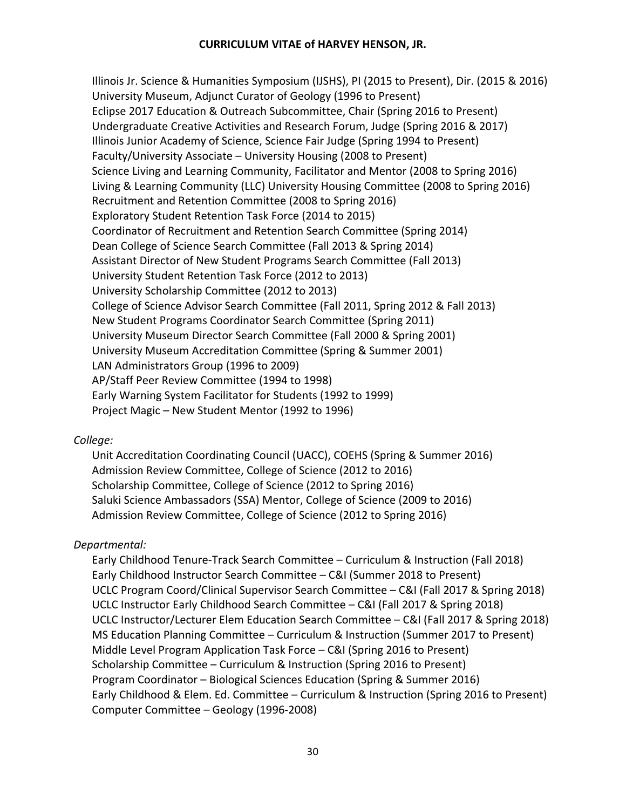Illinois Jr. Science & Humanities Symposium (IJSHS), PI (2015 to Present), Dir. (2015 & 2016) University Museum, Adjunct Curator of Geology (1996 to Present) Eclipse 2017 Education & Outreach Subcommittee, Chair (Spring 2016 to Present) Undergraduate Creative Activities and Research Forum, Judge (Spring 2016 & 2017) Illinois Junior Academy of Science, Science Fair Judge (Spring 1994 to Present) Faculty/University Associate – University Housing (2008 to Present) Science Living and Learning Community, Facilitator and Mentor (2008 to Spring 2016) Living & Learning Community (LLC) University Housing Committee (2008 to Spring 2016) Recruitment and Retention Committee (2008 to Spring 2016) Exploratory Student Retention Task Force (2014 to 2015) Coordinator of Recruitment and Retention Search Committee (Spring 2014) Dean College of Science Search Committee (Fall 2013 & Spring 2014) Assistant Director of New Student Programs Search Committee (Fall 2013) University Student Retention Task Force (2012 to 2013) University Scholarship Committee (2012 to 2013) College of Science Advisor Search Committee (Fall 2011, Spring 2012 & Fall 2013) New Student Programs Coordinator Search Committee (Spring 2011) University Museum Director Search Committee (Fall 2000 & Spring 2001) University Museum Accreditation Committee (Spring & Summer 2001) LAN Administrators Group (1996 to 2009) AP/Staff Peer Review Committee (1994 to 1998) Early Warning System Facilitator for Students (1992 to 1999) Project Magic – New Student Mentor (1992 to 1996)

#### $Collect:$

Unit Accreditation Coordinating Council (UACC), COEHS (Spring & Summer 2016) Admission Review Committee, College of Science (2012 to 2016) Scholarship Committee, College of Science (2012 to Spring 2016) Saluki Science Ambassadors (SSA) Mentor, College of Science (2009 to 2016) Admission Review Committee, College of Science (2012 to Spring 2016)

#### *Departmental:*

Early Childhood Tenure‐Track Search Committee – Curriculum & Instruction (Fall 2018) Early Childhood Instructor Search Committee – C&I (Summer 2018 to Present) UCLC Program Coord/Clinical Supervisor Search Committee – C&I (Fall 2017 & Spring 2018) UCLC Instructor Early Childhood Search Committee – C&I (Fall 2017 & Spring 2018) UCLC Instructor/Lecturer Elem Education Search Committee – C&I (Fall 2017 & Spring 2018) MS Education Planning Committee – Curriculum & Instruction (Summer 2017 to Present) Middle Level Program Application Task Force – C&I (Spring 2016 to Present) Scholarship Committee – Curriculum & Instruction (Spring 2016 to Present) Program Coordinator – Biological Sciences Education (Spring & Summer 2016) Early Childhood & Elem. Ed. Committee – Curriculum & Instruction (Spring 2016 to Present) Computer Committee – Geology (1996‐2008)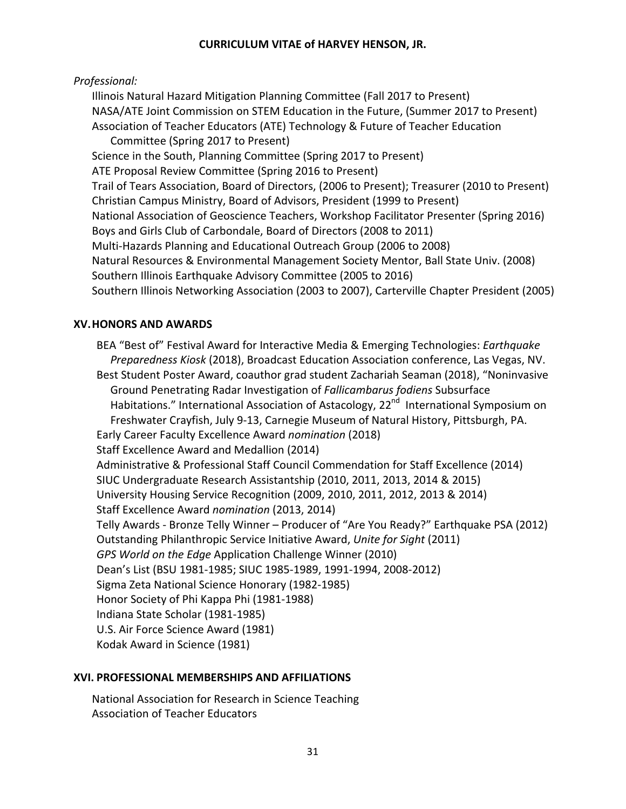### *Professional:*

Illinois Natural Hazard Mitigation Planning Committee (Fall 2017 to Present) NASA/ATE Joint Commission on STEM Education in the Future, (Summer 2017 to Present) Association of Teacher Educators (ATE) Technology & Future of Teacher Education Committee (Spring 2017 to Present) Science in the South, Planning Committee (Spring 2017 to Present) ATE Proposal Review Committee (Spring 2016 to Present) Trail of Tears Association, Board of Directors, (2006 to Present); Treasurer (2010 to Present) Christian Campus Ministry, Board of Advisors, President (1999 to Present) National Association of Geoscience Teachers, Workshop Facilitator Presenter (Spring 2016) Boys and Girls Club of Carbondale, Board of Directors (2008 to 2011) Multi‐Hazards Planning and Educational Outreach Group (2006 to 2008) Natural Resources & Environmental Management Society Mentor, Ball State Univ. (2008) Southern Illinois Earthquake Advisory Committee (2005 to 2016) Southern Illinois Networking Association (2003 to 2007), Carterville Chapter President (2005)

#### **XV.HONORS AND AWARDS**

BEA "Best of" Festival Award for Interactive Media & Emerging Technologies: *Earthquake Preparedness Kiosk* (2018), Broadcast Education Association conference, Las Vegas, NV. Best Student Poster Award, coauthor grad student Zachariah Seaman (2018), "Noninvasive Ground Penetrating Radar Investigation of *Fallicambarus fodiens* Subsurface Habitations." International Association of Astacology, 22<sup>nd</sup> International Symposium on Freshwater Crayfish, July 9‐13, Carnegie Museum of Natural History, Pittsburgh, PA. Early Career Faculty Excellence Award *nomination* (2018) Staff Excellence Award and Medallion (2014) Administrative & Professional Staff Council Commendation for Staff Excellence (2014) SIUC Undergraduate Research Assistantship (2010, 2011, 2013, 2014 & 2015) University Housing Service Recognition (2009, 2010, 2011, 2012, 2013 & 2014) Staff Excellence Award *nomination* (2013, 2014) Telly Awards ‐ Bronze Telly Winner – Producer of "Are You Ready?" Earthquake PSA (2012) Outstanding Philanthropic Service Initiative Award, *Unite for Sight* (2011) *GPS World on the Edge* Application Challenge Winner (2010) Dean's List (BSU 1981‐1985; SIUC 1985‐1989, 1991‐1994, 2008‐2012) Sigma Zeta National Science Honorary (1982‐1985) Honor Society of Phi Kappa Phi (1981‐1988) Indiana State Scholar (1981‐1985) U.S. Air Force Science Award (1981) Kodak Award in Science (1981)

#### **XVI. PROFESSIONAL MEMBERSHIPS AND AFFILIATIONS**

National Association for Research in Science Teaching Association of Teacher Educators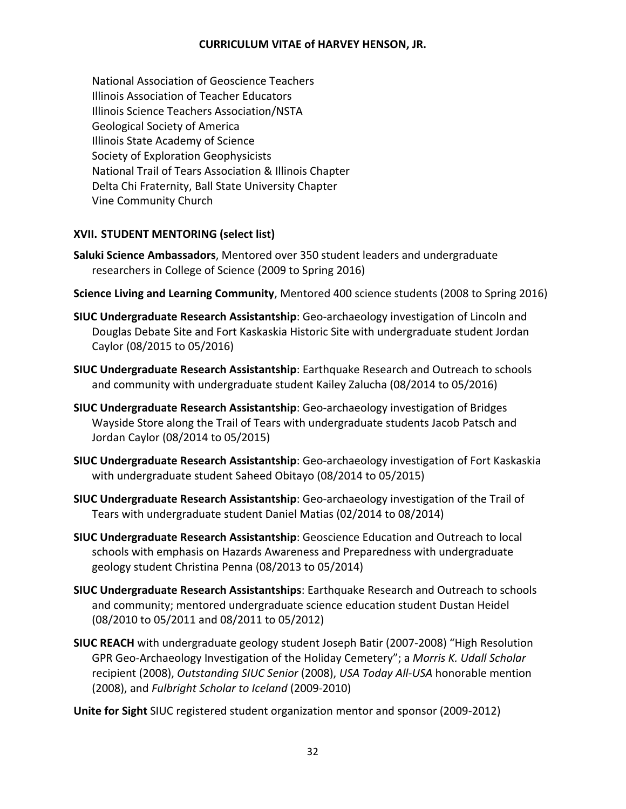National Association of Geoscience Teachers Illinois Association of Teacher Educators Illinois Science Teachers Association/NSTA Geological Society of America Illinois State Academy of Science Society of Exploration Geophysicists National Trail of Tears Association & Illinois Chapter Delta Chi Fraternity, Ball State University Chapter Vine Community Church

### **XVII. STUDENT MENTORING (select list)**

- **Saluki Science Ambassadors**, Mentored over 350 student leaders and undergraduate researchers in College of Science (2009 to Spring 2016)
- **Science Living and Learning Community**, Mentored 400 science students (2008 to Spring 2016)
- **SIUC Undergraduate Research Assistantship**: Geo‐archaeology investigation of Lincoln and Douglas Debate Site and Fort Kaskaskia Historic Site with undergraduate student Jordan Caylor (08/2015 to 05/2016)
- **SIUC Undergraduate Research Assistantship**: Earthquake Research and Outreach to schools and community with undergraduate student Kailey Zalucha (08/2014 to 05/2016)
- **SIUC Undergraduate Research Assistantship**: Geo‐archaeology investigation of Bridges Wayside Store along the Trail of Tears with undergraduate students Jacob Patsch and Jordan Caylor (08/2014 to 05/2015)
- **SIUC Undergraduate Research Assistantship**: Geo‐archaeology investigation of Fort Kaskaskia with undergraduate student Saheed Obitayo (08/2014 to 05/2015)
- **SIUC Undergraduate Research Assistantship**: Geo‐archaeology investigation of the Trail of Tears with undergraduate student Daniel Matias (02/2014 to 08/2014)
- **SIUC Undergraduate Research Assistantship**: Geoscience Education and Outreach to local schools with emphasis on Hazards Awareness and Preparedness with undergraduate geology student Christina Penna (08/2013 to 05/2014)
- **SIUC Undergraduate Research Assistantships**: Earthquake Research and Outreach to schools and community; mentored undergraduate science education student Dustan Heidel (08/2010 to 05/2011 and 08/2011 to 05/2012)
- **SIUC REACH** with undergraduate geology student Joseph Batir (2007‐2008) "High Resolution GPR Geo‐Archaeology Investigation of the Holiday Cemetery"; a *Morris K. Udall Scholar* recipient (2008), *Outstanding SIUC Senior* (2008), *USA Today All‐USA* honorable mention (2008), and *Fulbright Scholar to Iceland* (2009‐2010)

**Unite for Sight** SIUC registered student organization mentor and sponsor (2009‐2012)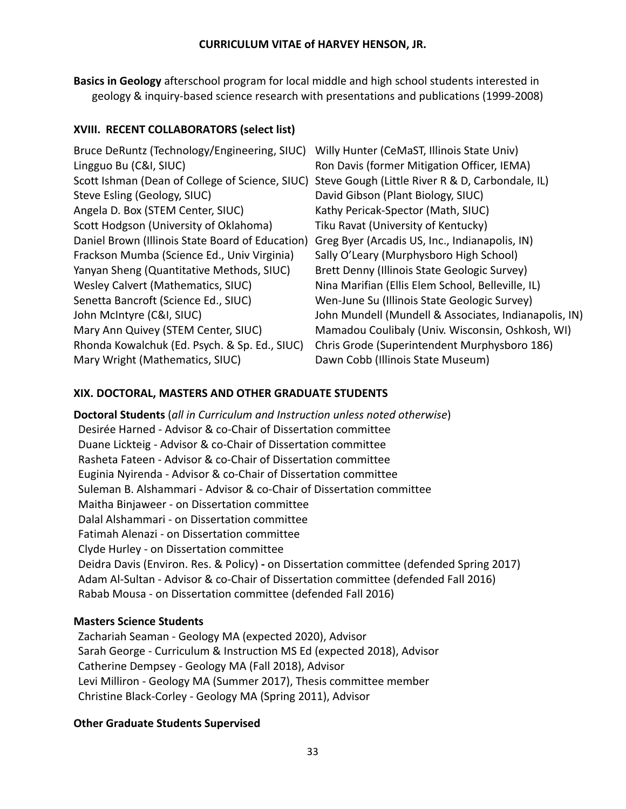**Basics in Geology** afterschool program for local middle and high school students interested in geology & inquiry‐based science research with presentations and publications (1999‐2008)

## **XVIII. RECENT COLLABORATORS (select list)**

Bruce DeRuntz (Technology/Engineering, SIUC) Willy Hunter (CeMaST, Illinois State Univ) Lingguo Bu (C&I, SIUC) Scott Ishman (Dean of College of Science, SIUC) Steve Gough (Little River R & D, Carbondale, IL) Steve Esling (Geology, SIUC) Angela D. Box (STEM Center, SIUC) Scott Hodgson (University of Oklahoma) Daniel Brown (Illinois State Board of Education) Greg Byer (Arcadis US, Inc., Indianapolis, IN) Frackson Mumba (Science Ed., Univ Virginia) Yanyan Sheng (Quantitative Methods, SIUC) Wesley Calvert (Mathematics, SIUC) Senetta Bancroft (Science Ed., SIUC) John McIntyre (C&I, SIUC) Mary Ann Quivey (STEM Center, SIUC) Rhonda Kowalchuk (Ed. Psych. & Sp. Ed., SIUC) Mary Wright (Mathematics, SIUC)

Ron Davis (former Mitigation Officer, IEMA) David Gibson (Plant Biology, SIUC) Kathy Pericak‐Spector (Math, SIUC) Tiku Ravat (University of Kentucky) Sally O'Leary (Murphysboro High School) Brett Denny (Illinois State Geologic Survey) Nina Marifian (Ellis Elem School, Belleville, IL) Wen‐June Su (Illinois State Geologic Survey) John Mundell (Mundell & Associates, Indianapolis, IN) Mamadou Coulibaly (Univ. Wisconsin, Oshkosh, WI) Chris Grode (Superintendent Murphysboro 186) Dawn Cobb (Illinois State Museum)

# **XIX. DOCTORAL, MASTERS AND OTHER GRADUATE STUDENTS**

**Doctoral Students** (*all in Curriculum and Instruction unless noted otherwise*) Desirée Harned ‐ Advisor & co‐Chair of Dissertation committee Duane Lickteig ‐ Advisor & co‐Chair of Dissertation committee Rasheta Fateen ‐ Advisor & co‐Chair of Dissertation committee Euginia Nyirenda ‐ Advisor & co‐Chair of Dissertation committee Suleman B. Alshammari ‐ Advisor & co‐Chair of Dissertation committee Maitha Binjaweer ‐ on Dissertation committee Dalal Alshammari ‐ on Dissertation committee Fatimah Alenazi ‐ on Dissertation committee Clyde Hurley ‐ on Dissertation committee Deidra Davis (Environ. Res. & Policy) **‐** on Dissertation committee (defended Spring 2017) Adam Al‐Sultan ‐ Advisor & co‐Chair of Dissertation committee (defended Fall 2016) Rabab Mousa ‐ on Dissertation committee (defended Fall 2016)

## **Masters Science Students**

Zachariah Seaman ‐ Geology MA (expected 2020), Advisor Sarah George ‐ Curriculum & Instruction MS Ed (expected 2018), Advisor Catherine Dempsey ‐ Geology MA (Fall 2018), Advisor Levi Milliron ‐ Geology MA (Summer 2017), Thesis committee member Christine Black‐Corley ‐ Geology MA (Spring 2011), Advisor

## **Other Graduate Students Supervised**